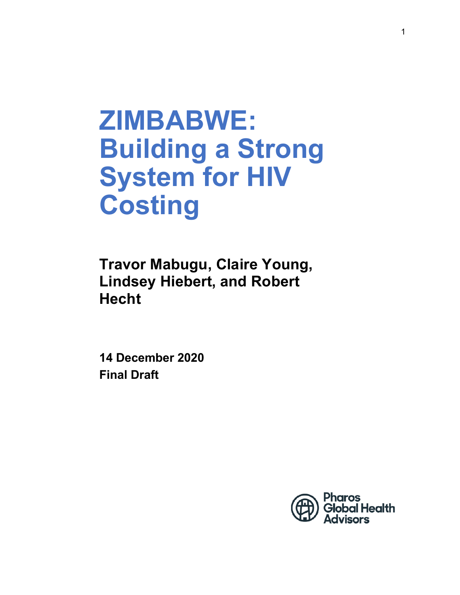# **ZIMBABWE: Building a Strong System for HIV Costing**

**Travor Mabugu, Claire Young, Lindsey Hiebert, and Robert Hecht**

**14 December 2020 Final Draft**

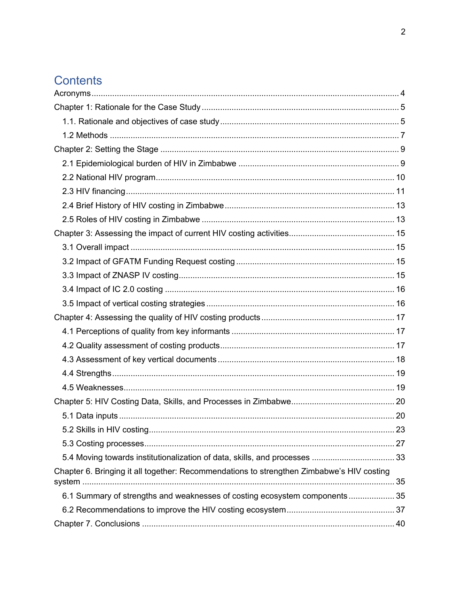## **Contents**

| Chapter 6. Bringing it all together: Recommendations to strengthen Zimbabwe's HIV costing |  |
|-------------------------------------------------------------------------------------------|--|
| 6.1 Summary of strengths and weaknesses of costing ecosystem components 35                |  |
|                                                                                           |  |
|                                                                                           |  |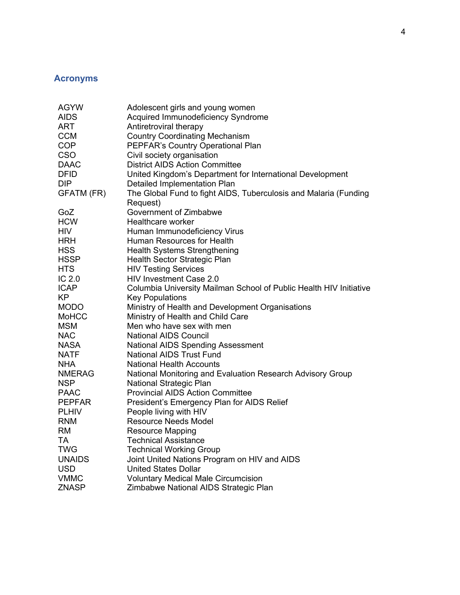## **Acronyms**

| <b>AGYW</b>       | Adolescent girls and young women                                   |
|-------------------|--------------------------------------------------------------------|
| <b>AIDS</b>       | Acquired Immunodeficiency Syndrome                                 |
| ART               | Antiretroviral therapy                                             |
| <b>CCM</b>        | <b>Country Coordinating Mechanism</b>                              |
| <b>COP</b>        | PEPFAR's Country Operational Plan                                  |
| <b>CSO</b>        | Civil society organisation                                         |
| <b>DAAC</b>       | <b>District AIDS Action Committee</b>                              |
| DFID              | United Kingdom's Department for International Development          |
| <b>DIP</b>        | Detailed Implementation Plan                                       |
| GFATM (FR)        | The Global Fund to fight AIDS, Tuberculosis and Malaria (Funding   |
|                   | Request)                                                           |
| GoZ               | Government of Zimbabwe                                             |
| <b>HCW</b>        | Healthcare worker                                                  |
| <b>HIV</b>        | Human Immunodeficiency Virus                                       |
| <b>HRH</b>        | Human Resources for Health                                         |
| <b>HSS</b>        | <b>Health Systems Strengthening</b>                                |
| <b>HSSP</b>       | Health Sector Strategic Plan                                       |
| <b>HTS</b>        | <b>HIV Testing Services</b>                                        |
| IC <sub>2.0</sub> | <b>HIV Investment Case 2.0</b>                                     |
| <b>ICAP</b>       | Columbia University Mailman School of Public Health HIV Initiative |
| KP                | <b>Key Populations</b>                                             |
| <b>MODO</b>       | Ministry of Health and Development Organisations                   |
| <b>MoHCC</b>      | Ministry of Health and Child Care                                  |
| <b>MSM</b>        | Men who have sex with men                                          |
| <b>NAC</b>        | <b>National AIDS Council</b>                                       |
| <b>NASA</b>       | <b>National AIDS Spending Assessment</b>                           |
| <b>NATF</b>       | <b>National AIDS Trust Fund</b>                                    |
| <b>NHA</b>        | <b>National Health Accounts</b>                                    |
| <b>NMERAG</b>     | National Monitoring and Evaluation Research Advisory Group         |
| <b>NSP</b>        | National Strategic Plan                                            |
| <b>PAAC</b>       | <b>Provincial AIDS Action Committee</b>                            |
| <b>PEPFAR</b>     | President's Emergency Plan for AIDS Relief                         |
| <b>PLHIV</b>      | People living with HIV                                             |
| <b>RNM</b>        | <b>Resource Needs Model</b>                                        |
| <b>RM</b>         | <b>Resource Mapping</b>                                            |
| <b>TA</b>         | <b>Technical Assistance</b>                                        |
| <b>TWG</b>        | <b>Technical Working Group</b>                                     |
| <b>UNAIDS</b>     | Joint United Nations Program on HIV and AIDS                       |
| <b>USD</b>        | <b>United States Dollar</b>                                        |
| <b>VMMC</b>       | <b>Voluntary Medical Male Circumcision</b>                         |
| <b>ZNASP</b>      | Zimbabwe National AIDS Strategic Plan                              |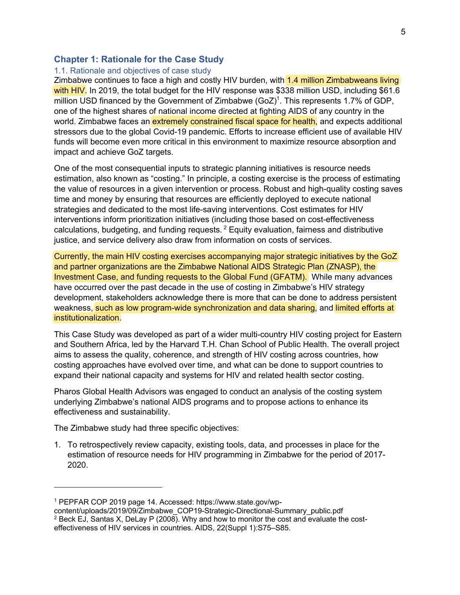## **Chapter 1: Rationale for the Case Study**

#### 1.1. Rationale and objectives of case study

Zimbabwe continues to face a high and costly HIV burden, with 1.4 million Zimbabweans living with HIV. In 2019, the total budget for the HIV response was \$338 million USD, including \$61.6 million USD financed by the Government of Zimbabwe  $(GoZ)^1$ . This represents 1.7% of GDP, one of the highest shares of national income directed at fighting AIDS of any country in the world. Zimbabwe faces an extremely constrained fiscal space for health, and expects additional stressors due to the global Covid-19 pandemic. Efforts to increase efficient use of available HIV funds will become even more critical in this environment to maximize resource absorption and impact and achieve GoZ targets.

One of the most consequential inputs to strategic planning initiatives is resource needs estimation, also known as "costing." In principle, a costing exercise is the process of estimating the value of resources in a given intervention or process. Robust and high-quality costing saves time and money by ensuring that resources are efficiently deployed to execute national strategies and dedicated to the most life-saving interventions. Cost estimates for HIV interventions inform prioritization initiatives (including those based on cost-effectiveness calculations, budgeting, and funding requests.<sup>2</sup> Equity evaluation, fairness and distributive justice, and service delivery also draw from information on costs of services.

Currently, the main HIV costing exercises accompanying major strategic initiatives by the GoZ and partner organizations are the Zimbabwe National AIDS Strategic Plan (ZNASP), the Investment Case, and funding requests to the Global Fund (GFATM). While many advances have occurred over the past decade in the use of costing in Zimbabwe's HIV strategy development, stakeholders acknowledge there is more that can be done to address persistent weakness, such as low program-wide synchronization and data sharing, and limited efforts at institutionalization.

This Case Study was developed as part of a wider multi-country HIV costing project for Eastern and Southern Africa, led by the Harvard T.H. Chan School of Public Health. The overall project aims to assess the quality, coherence, and strength of HIV costing across countries, how costing approaches have evolved over time, and what can be done to support countries to expand their national capacity and systems for HIV and related health sector costing.

Pharos Global Health Advisors was engaged to conduct an analysis of the costing system underlying Zimbabwe's national AIDS programs and to propose actions to enhance its effectiveness and sustainability.

The Zimbabwe study had three specific objectives:

1. To retrospectively review capacity, existing tools, data, and processes in place for the estimation of resource needs for HIV programming in Zimbabwe for the period of 2017- 2020.

content/uploads/2019/09/Zimbabwe\_COP19-Strategic-Directional-Summary\_public.pdf

<sup>1</sup> PEPFAR COP 2019 page 14. Accessed: https://www.state.gov/wp-

 $2$  Beck EJ, Santas X, DeLay P (2008). Why and how to monitor the cost and evaluate the costeffectiveness of HIV services in countries. AIDS, 22(Suppl 1):S75–S85.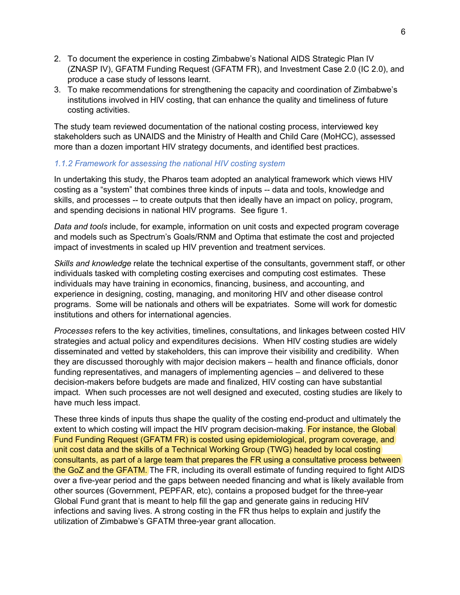- 2. To document the experience in costing Zimbabwe's National AIDS Strategic Plan IV (ZNASP IV), GFATM Funding Request (GFATM FR), and Investment Case 2.0 (IC 2.0), and produce a case study of lessons learnt.
- 3. To make recommendations for strengthening the capacity and coordination of Zimbabwe's institutions involved in HIV costing, that can enhance the quality and timeliness of future costing activities.

The study team reviewed documentation of the national costing process, interviewed key stakeholders such as UNAIDS and the Ministry of Health and Child Care (MoHCC), assessed more than a dozen important HIV strategy documents, and identified best practices.

## *1.1.2 Framework for assessing the national HIV costing system*

In undertaking this study, the Pharos team adopted an analytical framework which views HIV costing as a "system" that combines three kinds of inputs -- data and tools, knowledge and skills, and processes -- to create outputs that then ideally have an impact on policy, program, and spending decisions in national HIV programs. See figure 1.

*Data and tools* include, for example, information on unit costs and expected program coverage and models such as Spectrum's Goals/RNM and Optima that estimate the cost and projected impact of investments in scaled up HIV prevention and treatment services.

*Skills and knowledge* relate the technical expertise of the consultants, government staff, or other individuals tasked with completing costing exercises and computing cost estimates. These individuals may have training in economics, financing, business, and accounting, and experience in designing, costing, managing, and monitoring HIV and other disease control programs. Some will be nationals and others will be expatriates. Some will work for domestic institutions and others for international agencies.

*Processes* refers to the key activities, timelines, consultations, and linkages between costed HIV strategies and actual policy and expenditures decisions. When HIV costing studies are widely disseminated and vetted by stakeholders, this can improve their visibility and credibility. When they are discussed thoroughly with major decision makers – health and finance officials, donor funding representatives, and managers of implementing agencies – and delivered to these decision-makers before budgets are made and finalized, HIV costing can have substantial impact. When such processes are not well designed and executed, costing studies are likely to have much less impact.

These three kinds of inputs thus shape the quality of the costing end-product and ultimately the extent to which costing will impact the HIV program decision-making. For instance, the Global Fund Funding Request (GFATM FR) is costed using epidemiological, program coverage, and unit cost data and the skills of a Technical Working Group (TWG) headed by local costing consultants, as part of a large team that prepares the FR using a consultative process between the GoZ and the GFATM. The FR, including its overall estimate of funding required to fight AIDS over a five-year period and the gaps between needed financing and what is likely available from other sources (Government, PEPFAR, etc), contains a proposed budget for the three-year Global Fund grant that is meant to help fill the gap and generate gains in reducing HIV infections and saving lives. A strong costing in the FR thus helps to explain and justify the utilization of Zimbabwe's GFATM three-year grant allocation.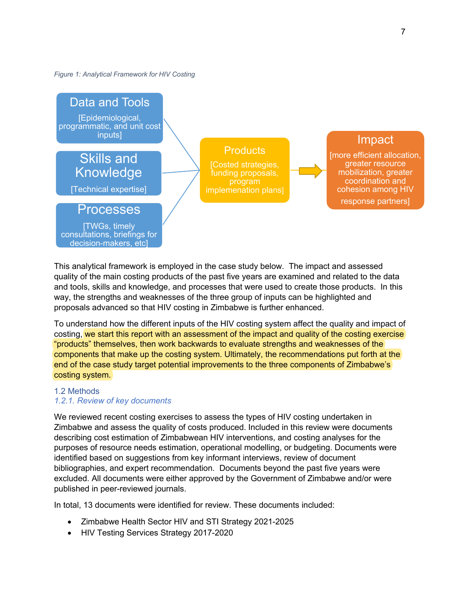#### *Figure 1: Analytical Framework for HIV Costing*



This analytical framework is employed in the case study below. The impact and assessed quality of the main costing products of the past five years are examined and related to the data and tools, skills and knowledge, and processes that were used to create those products. In this way, the strengths and weaknesses of the three group of inputs can be highlighted and proposals advanced so that HIV costing in Zimbabwe is further enhanced.

To understand how the different inputs of the HIV costing system affect the quality and impact of costing, we start this report with an assessment of the impact and quality of the costing exercise "products" themselves, then work backwards to evaluate strengths and weaknesses of the components that make up the costing system. Ultimately, the recommendations put forth at the end of the case study target potential improvements to the three components of Zimbabwe's costing system.

#### 1.2 Methods

#### *1.2.1. Review of key documents*

We reviewed recent costing exercises to assess the types of HIV costing undertaken in Zimbabwe and assess the quality of costs produced. Included in this review were documents describing cost estimation of Zimbabwean HIV interventions, and costing analyses for the purposes of resource needs estimation, operational modelling, or budgeting. Documents were identified based on suggestions from key informant interviews, review of document bibliographies, and expert recommendation. Documents beyond the past five years were excluded. All documents were either approved by the Government of Zimbabwe and/or were published in peer-reviewed journals.

In total, 13 documents were identified for review. These documents included:

- Zimbabwe Health Sector HIV and STI Strategy 2021-2025
- HIV Testing Services Strategy 2017-2020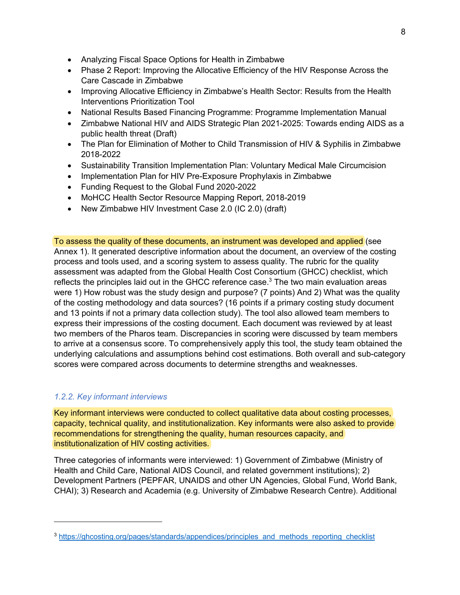- Analyzing Fiscal Space Options for Health in Zimbabwe
- Phase 2 Report: Improving the Allocative Efficiency of the HIV Response Across the Care Cascade in Zimbabwe
- Improving Allocative Efficiency in Zimbabwe's Health Sector: Results from the Health Interventions Prioritization Tool
- National Results Based Financing Programme: Programme Implementation Manual
- Zimbabwe National HIV and AIDS Strategic Plan 2021-2025: Towards ending AIDS as a public health threat (Draft)
- The Plan for Elimination of Mother to Child Transmission of HIV & Syphilis in Zimbabwe 2018-2022
- Sustainability Transition Implementation Plan: Voluntary Medical Male Circumcision
- Implementation Plan for HIV Pre-Exposure Prophylaxis in Zimbabwe
- Funding Request to the Global Fund 2020-2022
- MoHCC Health Sector Resource Mapping Report, 2018-2019
- New Zimbabwe HIV Investment Case 2.0 (IC 2.0) (draft)

To assess the quality of these documents, an instrument was developed and applied (see Annex 1). It generated descriptive information about the document, an overview of the costing process and tools used, and a scoring system to assess quality. The rubric for the quality assessment was adapted from the Global Health Cost Consortium (GHCC) checklist, which reflects the principles laid out in the GHCC reference case.<sup>3</sup> The two main evaluation areas were 1) How robust was the study design and purpose? (7 points) And 2) What was the quality of the costing methodology and data sources? (16 points if a primary costing study document and 13 points if not a primary data collection study). The tool also allowed team members to express their impressions of the costing document. Each document was reviewed by at least two members of the Pharos team. Discrepancies in scoring were discussed by team members to arrive at a consensus score. To comprehensively apply this tool, the study team obtained the underlying calculations and assumptions behind cost estimations. Both overall and sub-category scores were compared across documents to determine strengths and weaknesses.

## *1.2.2. Key informant interviews*

Key informant interviews were conducted to collect qualitative data about costing processes, capacity, technical quality, and institutionalization. Key informants were also asked to provide recommendations for strengthening the quality, human resources capacity, and institutionalization of HIV costing activities.

Three categories of informants were interviewed: 1) Government of Zimbabwe (Ministry of Health and Child Care, National AIDS Council, and related government institutions); 2) Development Partners (PEPFAR, UNAIDS and other UN Agencies, Global Fund, World Bank, CHAI); 3) Research and Academia (e.g. University of Zimbabwe Research Centre). Additional

<sup>3</sup> https://ghcosting.org/pages/standards/appendices/principles\_and\_methods\_reporting\_checklist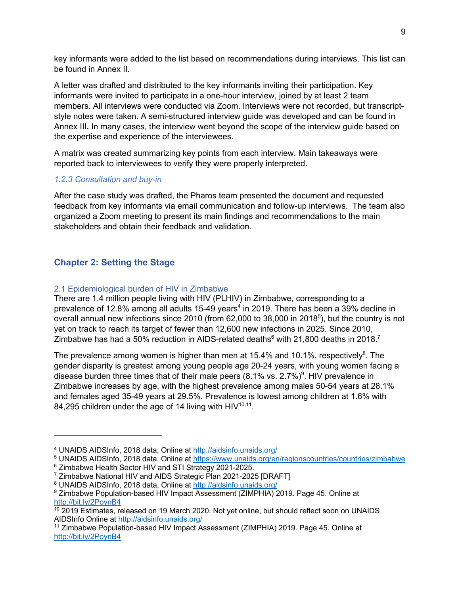key informants were added to the list based on recommendations during interviews. This list can be found in Annex II.

A letter was drafted and distributed to the key informants inviting their participation. Key informants were invited to participate in a one-hour interview, joined by at least 2 team members. All interviews were conducted via Zoom. Interviews were not recorded, but transcriptstyle notes were taken. A semi-structured interview guide was developed and can be found in Annex III**.** In many cases, the interview went beyond the scope of the interview guide based on the expertise and experience of the interviewees.

A matrix was created summarizing key points from each interview. Main takeaways were reported back to interviewees to verify they were properly interpreted.

## *1.2.3 Consultation and buy-in*

After the case study was drafted, the Pharos team presented the document and requested feedback from key informants via email communication and follow-up interviews. The team also organized a Zoom meeting to present its main findings and recommendations to the main stakeholders and obtain their feedback and validation.

## **Chapter 2: Setting the Stage**

## 2.1 Epidemiological burden of HIV in Zimbabwe

There are 1.4 million people living with HIV (PLHIV) in Zimbabwe, corresponding to a prevalence of 12.8% among all adults 15-49 years<sup>4</sup> in 2019. There has been a 39% decline in overall annual new infections since 2010 (from  $62,000$  to  $38,000$  in  $2018<sup>5</sup>$ ), but the country is not yet on track to reach its target of fewer than 12,600 new infections in 2025. Since 2010, Zimbabwe has had a 50% reduction in AIDS-related deaths $^6$  with 21,800 deaths in 2018.<sup>7</sup>

The prevalence among women is higher than men at 15.4% and 10.1%, respectively<sup>8</sup>. The gender disparity is greatest among young people age 20-24 years, with young women facing a disease burden three times that of their male peers (8.1% vs. 2.7%)<sup>9</sup>. HIV prevalence in Zimbabwe increases by age, with the highest prevalence among males 50-54 years at 28.1% and females aged 35-49 years at 29.5%. Prevalence is lowest among children at 1.6% with 84,295 children under the age of 14 living with  $HIV^{10,11}$ .

<sup>4</sup> UNAIDS AIDSInfo, 2018 data, Online at http://aidsinfo.unaids.org/

<sup>5</sup> UNAIDS AIDSInfo, 2018 data. Online at https://www.unaids.org/en/regionscountries/countries/zimbabwe

<sup>6</sup> Zimbabwe Health Sector HIV and STI Strategy 2021-2025.

<sup>7</sup> Zimbabwe National HIV and AIDS Strategic Plan 2021-2025 [DRAFT]

<sup>8</sup> UNAIDS AIDSInfo, 2018 data, Online at http://aidsinfo.unaids.org/

<sup>9</sup> Zimbabwe Population-based HIV Impact Assessment (ZIMPHIA) 2019. Page 45. Online at http://bit.ly/2PoynB4

<sup>&</sup>lt;sup>10</sup> 2019 Estimates, released on 19 March 2020. Not yet online, but should reflect soon on UNAIDS AIDSInfo Online at http://aidsinfo.unaids.org/

<sup>&</sup>lt;sup>11</sup> Zimbabwe Population-based HIV Impact Assessment (ZIMPHIA) 2019. Page 45. Online at http://bit.ly/2PoynB4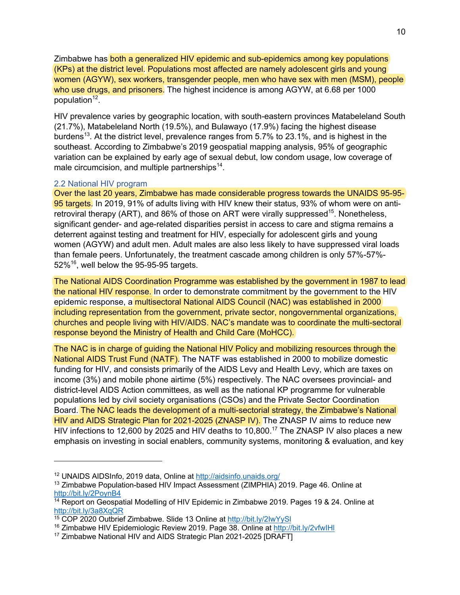Zimbabwe has both a generalized HIV epidemic and sub-epidemics among key populations (KPs) at the district level. Populations most affected are namely adolescent girls and young women (AGYW), sex workers, transgender people, men who have sex with men (MSM), people who use drugs, and prisoners. The highest incidence is among AGYW, at 6.68 per 1000 population $12$ .

HIV prevalence varies by geographic location, with south-eastern provinces Matabeleland South (21.7%), Matabeleland North (19.5%), and Bulawayo (17.9%) facing the highest disease burdens<sup>13</sup>. At the district level, prevalence ranges from 5.7% to 23.1%, and is highest in the southeast. According to Zimbabwe's 2019 geospatial mapping analysis, 95% of geographic variation can be explained by early age of sexual debut, low condom usage, low coverage of male circumcision, and multiple partnerships $14$ .

## 2.2 National HIV program

Over the last 20 years, Zimbabwe has made considerable progress towards the UNAIDS 95-95- 95 targets. In 2019, 91% of adults living with HIV knew their status, 93% of whom were on antiretroviral therapy (ART), and 86% of those on ART were virally suppressed<sup>15</sup>. Nonetheless, significant gender- and age-related disparities persist in access to care and stigma remains a deterrent against testing and treatment for HIV, especially for adolescent girls and young women (AGYW) and adult men. Adult males are also less likely to have suppressed viral loads than female peers. Unfortunately, the treatment cascade among children is only 57%-57%-  $52\%$ <sup>16</sup>, well below the 95-95-95 targets.

The National AIDS Coordination Programme was established by the government in 1987 to lead the national HIV response. In order to demonstrate commitment by the government to the HIV epidemic response, a multisectoral National AIDS Council (NAC) was established in 2000 including representation from the government, private sector, nongovernmental organizations, churches and people living with HIV/AIDS. NAC's mandate was to coordinate the multi-sectoral response beyond the Ministry of Health and Child Care (MoHCC).

The NAC is in charge of guiding the National HIV Policy and mobilizing resources through the National AIDS Trust Fund (NATF). The NATF was established in 2000 to mobilize domestic funding for HIV, and consists primarily of the AIDS Levy and Health Levy, which are taxes on income (3%) and mobile phone airtime (5%) respectively. The NAC oversees provincial- and district-level AIDS Action committees, as well as the national KP programme for vulnerable populations led by civil society organisations (CSOs) and the Private Sector Coordination Board. The NAC leads the development of a multi-sectorial strategy, the Zimbabwe's National HIV and AIDS Strategic Plan for 2021-2025 (ZNASP IV). The ZNASP IV aims to reduce new HIV infections to 12,600 by 2025 and HIV deaths to 10,800.<sup>17</sup> The ZNASP IV also places a new emphasis on investing in social enablers, community systems, monitoring & evaluation, and key

<sup>12</sup> UNAIDS AIDSInfo, 2019 data, Online at http://aidsinfo.unaids.org/

<sup>&</sup>lt;sup>13</sup> Zimbabwe Population-based HIV Impact Assessment (ZIMPHIA) 2019. Page 46. Online at http://bit.ly/2PoynB4

<sup>&</sup>lt;sup>14</sup> Report on Geospatial Modelling of HIV Epidemic in Zimbabwe 2019. Pages 19 & 24. Online at http://bit.ly/3a8XqQR

<sup>15</sup> COP 2020 Outbrief Zimbabwe. Slide 13 Online at http://bit.ly/2IwYySl

<sup>16</sup> Zimbabwe HIV Epidemiologic Review 2019. Page 38. Online at http://bit.ly/2vfwIHl

<sup>&</sup>lt;sup>17</sup> Zimbabwe National HIV and AIDS Strategic Plan 2021-2025 [DRAFT]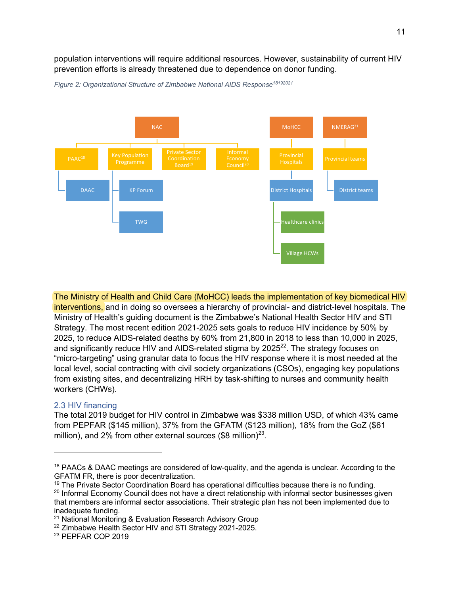population interventions will require additional resources. However, sustainability of current HIV prevention efforts is already threatened due to dependence on donor funding.



*Figure 2: Organizational Structure of Zimbabwe National AIDS Response18192021*

The Ministry of Health and Child Care (MoHCC) leads the implementation of key biomedical HIV interventions, and in doing so oversees a hierarchy of provincial- and district-level hospitals. The Ministry of Health's guiding document is the Zimbabwe's National Health Sector HIV and STI Strategy. The most recent edition 2021-2025 sets goals to reduce HIV incidence by 50% by 2025, to reduce AIDS-related deaths by 60% from 21,800 in 2018 to less than 10,000 in 2025, and significantly reduce HIV and AIDS-related stigma by  $2025^{22}$ . The strategy focuses on "micro-targeting" using granular data to focus the HIV response where it is most needed at the local level, social contracting with civil society organizations (CSOs), engaging key populations from existing sites, and decentralizing HRH by task-shifting to nurses and community health workers (CHWs).

#### 2.3 HIV financing

The total 2019 budget for HIV control in Zimbabwe was \$338 million USD, of which 43% came from PEPFAR (\$145 million), 37% from the GFATM (\$123 million), 18% from the GoZ (\$61 million), and 2% from other external sources (\$8 million)<sup>23</sup>.

<sup>&</sup>lt;sup>18</sup> PAACs & DAAC meetings are considered of low-quality, and the agenda is unclear. According to the GFATM FR, there is poor decentralization.

 $19$  The Private Sector Coordination Board has operational difficulties because there is no funding.  $20$  Informal Economy Council does not have a direct relationship with informal sector businesses given

that members are informal sector associations. Their strategic plan has not been implemented due to inadequate funding.

<sup>&</sup>lt;sup>21</sup> National Monitoring & Evaluation Research Advisory Group

<sup>&</sup>lt;sup>22</sup> Zimbabwe Health Sector HIV and STI Strategy 2021-2025.

<sup>23</sup> PEPFAR COP 2019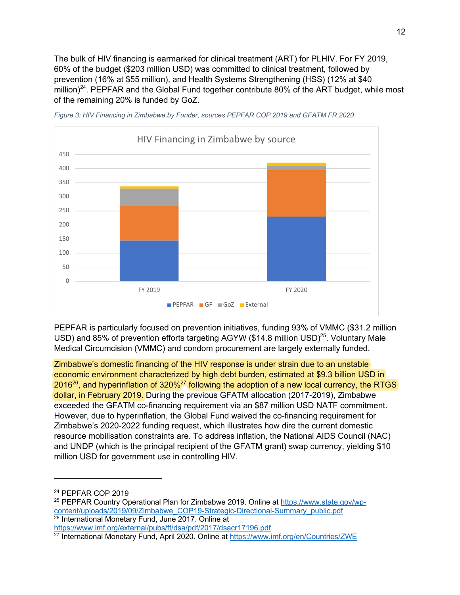The bulk of HIV financing is earmarked for clinical treatment (ART) for PLHIV. For FY 2019, 60% of the budget (\$203 million USD) was committed to clinical treatment, followed by prevention (16% at \$55 million), and Health Systems Strengthening (HSS) (12% at \$40 million)<sup>24</sup>. PEPFAR and the Global Fund together contribute 80% of the ART budget, while most of the remaining 20% is funded by GoZ.



*Figure 3: HIV Financing in Zimbabwe by Funder, sources PEPFAR COP 2019 and GFATM FR 2020*

PEPFAR is particularly focused on prevention initiatives, funding 93% of VMMC (\$31.2 million USD) and 85% of prevention efforts targeting AGYW (\$14.8 million USD)<sup>25</sup>. Voluntary Male Medical Circumcision (VMMC) and condom procurement are largely externally funded.

Zimbabwe's domestic financing of the HIV response is under strain due to an unstable economic environment characterized by high debt burden, estimated at \$9.3 billion USD in  $2016^{26}$ , and hyperinflation of 320%<sup>27</sup> following the adoption of a new local currency, the RTGS dollar, in February 2019. During the previous GFATM allocation (2017-2019), Zimbabwe exceeded the GFATM co-financing requirement via an \$87 million USD NATF commitment. However, due to hyperinflation, the Global Fund waived the co-financing requirement for Zimbabwe's 2020-2022 funding request, which illustrates how dire the current domestic resource mobilisation constraints are. To address inflation, the National AIDS Council (NAC) and UNDP (which is the principal recipient of the GFATM grant) swap currency, yielding \$10 million USD for government use in controlling HIV.

<sup>24</sup> PEPFAR COP 2019

<sup>25</sup> PEPFAR Country Operational Plan for Zimbabwe 2019. Online at https://www.state.gov/wpcontent/uploads/2019/09/Zimbabwe\_COP19-Strategic-Directional-Summary\_public.pdf <sup>26</sup> International Monetary Fund, June 2017. Online at https://www.imf.org/external/pubs/ft/dsa/pdf/2017/dsacr17196.pdf

<sup>&</sup>lt;sup>27</sup> International Monetary Fund, April 2020. Online at https://www.imf.org/en/Countries/ZWE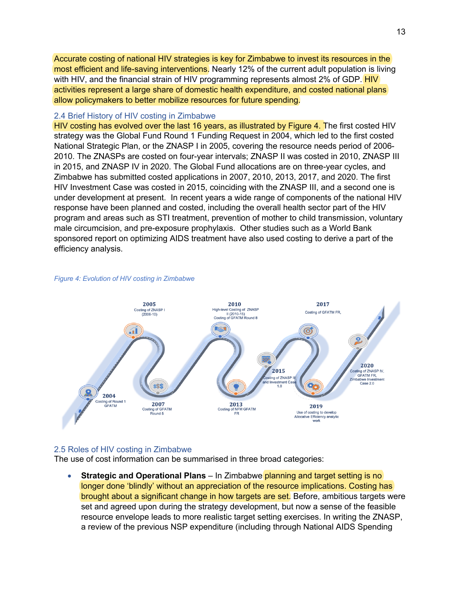Accurate costing of national HIV strategies is key for Zimbabwe to invest its resources in the most efficient and life-saving interventions. Nearly 12% of the current adult population is living with HIV, and the financial strain of HIV programming represents almost 2% of GDP. HIV activities represent a large share of domestic health expenditure, and costed national plans allow policymakers to better mobilize resources for future spending.

#### 2.4 Brief History of HIV costing in Zimbabwe

HIV costing has evolved over the last 16 years, as illustrated by Figure 4. The first costed HIV strategy was the Global Fund Round 1 Funding Request in 2004, which led to the first costed National Strategic Plan, or the ZNASP I in 2005, covering the resource needs period of 2006- 2010. The ZNASPs are costed on four-year intervals; ZNASP II was costed in 2010, ZNASP III in 2015, and ZNASP IV in 2020. The Global Fund allocations are on three-year cycles, and Zimbabwe has submitted costed applications in 2007, 2010, 2013, 2017, and 2020. The first HIV Investment Case was costed in 2015, coinciding with the ZNASP III, and a second one is under development at present. In recent years a wide range of components of the national HIV response have been planned and costed, including the overall health sector part of the HIV program and areas such as STI treatment, prevention of mother to child transmission, voluntary male circumcision, and pre-exposure prophylaxis. Other studies such as a World Bank sponsored report on optimizing AIDS treatment have also used costing to derive a part of the efficiency analysis.



#### *Figure 4: Evolution of HIV costing in Zimbabwe*

#### 2.5 Roles of HIV costing in Zimbabwe

The use of cost information can be summarised in three broad categories:

• **Strategic and Operational Plans** – In Zimbabwe planning and target setting is no longer done 'blindly' without an appreciation of the resource implications. Costing has brought about a significant change in how targets are set. Before, ambitious targets were set and agreed upon during the strategy development, but now a sense of the feasible resource envelope leads to more realistic target setting exercises. In writing the ZNASP, a review of the previous NSP expenditure (including through National AIDS Spending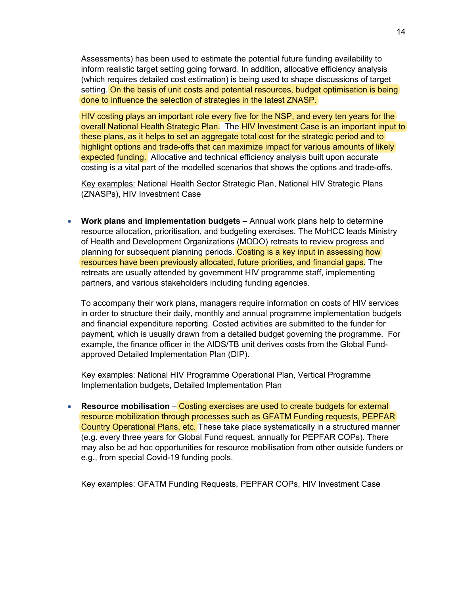Assessments) has been used to estimate the potential future funding availability to inform realistic target setting going forward. In addition, allocative efficiency analysis (which requires detailed cost estimation) is being used to shape discussions of target setting. On the basis of unit costs and potential resources, budget optimisation is being done to influence the selection of strategies in the latest ZNASP.

HIV costing plays an important role every five for the NSP, and every ten years for the overall National Health Strategic Plan. The HIV Investment Case is an important input to these plans, as it helps to set an aggregate total cost for the strategic period and to highlight options and trade-offs that can maximize impact for various amounts of likely expected funding. Allocative and technical efficiency analysis built upon accurate costing is a vital part of the modelled scenarios that shows the options and trade-offs.

Key examples: National Health Sector Strategic Plan, National HIV Strategic Plans (ZNASPs), HIV Investment Case

• **Work plans and implementation budgets** – Annual work plans help to determine resource allocation, prioritisation, and budgeting exercises. The MoHCC leads Ministry of Health and Development Organizations (MODO) retreats to review progress and planning for subsequent planning periods. Costing is a key input in assessing how resources have been previously allocated, future priorities, and financial gaps. The retreats are usually attended by government HIV programme staff, implementing partners, and various stakeholders including funding agencies.

To accompany their work plans, managers require information on costs of HIV services in order to structure their daily, monthly and annual programme implementation budgets and financial expenditure reporting. Costed activities are submitted to the funder for payment, which is usually drawn from a detailed budget governing the programme. For example, the finance officer in the AIDS/TB unit derives costs from the Global Fundapproved Detailed Implementation Plan (DIP).

Key examples: National HIV Programme Operational Plan, Vertical Programme Implementation budgets, Detailed Implementation Plan

• **Resource mobilisation** – Costing exercises are used to create budgets for external resource mobilization through processes such as GFATM Funding requests, PEPFAR Country Operational Plans, etc. These take place systematically in a structured manner (e.g. every three years for Global Fund request, annually for PEPFAR COPs). There may also be ad hoc opportunities for resource mobilisation from other outside funders or e.g., from special Covid-19 funding pools.

Key examples: GFATM Funding Requests, PEPFAR COPs, HIV Investment Case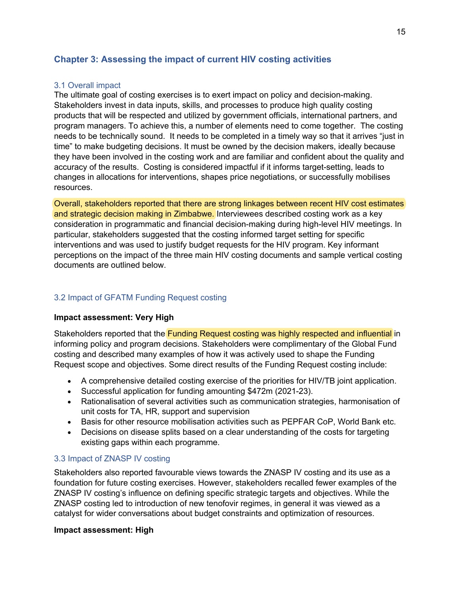## **Chapter 3: Assessing the impact of current HIV costing activities**

## 3.1 Overall impact

The ultimate goal of costing exercises is to exert impact on policy and decision-making. Stakeholders invest in data inputs, skills, and processes to produce high quality costing products that will be respected and utilized by government officials, international partners, and program managers. To achieve this, a number of elements need to come together. The costing needs to be technically sound. It needs to be completed in a timely way so that it arrives "just in time" to make budgeting decisions. It must be owned by the decision makers, ideally because they have been involved in the costing work and are familiar and confident about the quality and accuracy of the results. Costing is considered impactful if it informs target-setting, leads to changes in allocations for interventions, shapes price negotiations, or successfully mobilises resources.

Overall, stakeholders reported that there are strong linkages between recent HIV cost estimates and strategic decision making in Zimbabwe. Interviewees described costing work as a key consideration in programmatic and financial decision-making during high-level HIV meetings. In particular, stakeholders suggested that the costing informed target setting for specific interventions and was used to justify budget requests for the HIV program. Key informant perceptions on the impact of the three main HIV costing documents and sample vertical costing documents are outlined below.

## 3.2 Impact of GFATM Funding Request costing

## **Impact assessment: Very High**

Stakeholders reported that the Funding Request costing was highly respected and influential in informing policy and program decisions. Stakeholders were complimentary of the Global Fund costing and described many examples of how it was actively used to shape the Funding Request scope and objectives. Some direct results of the Funding Request costing include:

- A comprehensive detailed costing exercise of the priorities for HIV/TB joint application.
- Successful application for funding amounting \$472m (2021-23).
- Rationalisation of several activities such as communication strategies, harmonisation of unit costs for TA, HR, support and supervision
- Basis for other resource mobilisation activities such as PEPFAR CoP, World Bank etc.
- Decisions on disease splits based on a clear understanding of the costs for targeting existing gaps within each programme.

## 3.3 Impact of ZNASP IV costing

Stakeholders also reported favourable views towards the ZNASP IV costing and its use as a foundation for future costing exercises. However, stakeholders recalled fewer examples of the ZNASP IV costing's influence on defining specific strategic targets and objectives. While the ZNASP costing led to introduction of new tenofovir regimes, in general it was viewed as a catalyst for wider conversations about budget constraints and optimization of resources.

## **Impact assessment: High**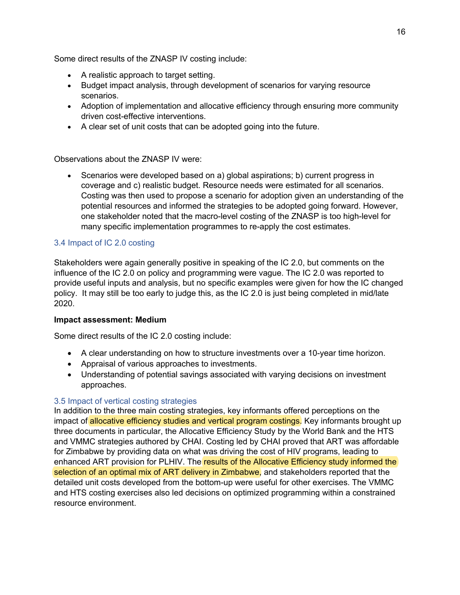Some direct results of the ZNASP IV costing include:

- A realistic approach to target setting.
- Budget impact analysis, through development of scenarios for varying resource scenarios.
- Adoption of implementation and allocative efficiency through ensuring more community driven cost-effective interventions.
- A clear set of unit costs that can be adopted going into the future.

Observations about the ZNASP IV were:

• Scenarios were developed based on a) global aspirations; b) current progress in coverage and c) realistic budget. Resource needs were estimated for all scenarios. Costing was then used to propose a scenario for adoption given an understanding of the potential resources and informed the strategies to be adopted going forward. However, one stakeholder noted that the macro-level costing of the ZNASP is too high-level for many specific implementation programmes to re-apply the cost estimates.

## 3.4 Impact of IC 2.0 costing

Stakeholders were again generally positive in speaking of the IC 2.0, but comments on the influence of the IC 2.0 on policy and programming were vague. The IC 2.0 was reported to provide useful inputs and analysis, but no specific examples were given for how the IC changed policy. It may still be too early to judge this, as the IC 2.0 is just being completed in mid/late 2020.

#### **Impact assessment: Medium**

Some direct results of the IC 2.0 costing include:

- A clear understanding on how to structure investments over a 10-year time horizon.
- Appraisal of various approaches to investments.
- Understanding of potential savings associated with varying decisions on investment approaches.

## 3.5 Impact of vertical costing strategies

In addition to the three main costing strategies, key informants offered perceptions on the impact of allocative efficiency studies and vertical program costings. Key informants brought up three documents in particular, the Allocative Efficiency Study by the World Bank and the HTS and VMMC strategies authored by CHAI. Costing led by CHAI proved that ART was affordable for Zimbabwe by providing data on what was driving the cost of HIV programs, leading to enhanced ART provision for PLHIV. The results of the Allocative Efficiency study informed the selection of an optimal mix of ART delivery in Zimbabwe, and stakeholders reported that the detailed unit costs developed from the bottom-up were useful for other exercises. The VMMC and HTS costing exercises also led decisions on optimized programming within a constrained resource environment.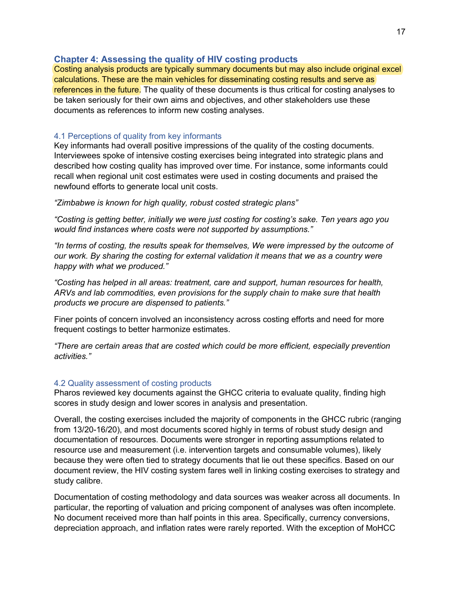#### **Chapter 4: Assessing the quality of HIV costing products**

Costing analysis products are typically summary documents but may also include original excel calculations. These are the main vehicles for disseminating costing results and serve as references in the future. The quality of these documents is thus critical for costing analyses to be taken seriously for their own aims and objectives, and other stakeholders use these documents as references to inform new costing analyses.

## 4.1 Perceptions of quality from key informants

Key informants had overall positive impressions of the quality of the costing documents. Interviewees spoke of intensive costing exercises being integrated into strategic plans and described how costing quality has improved over time. For instance, some informants could recall when regional unit cost estimates were used in costing documents and praised the newfound efforts to generate local unit costs.

*"Zimbabwe is known for high quality, robust costed strategic plans"*

*"Costing is getting better, initially we were just costing for costing's sake. Ten years ago you would find instances where costs were not supported by assumptions."* 

*"In terms of costing, the results speak for themselves, We were impressed by the outcome of our work. By sharing the costing for external validation it means that we as a country were happy with what we produced."*

*"Costing has helped in all areas: treatment, care and support, human resources for health, ARVs and lab commodities, even provisions for the supply chain to make sure that health products we procure are dispensed to patients."*

Finer points of concern involved an inconsistency across costing efforts and need for more frequent costings to better harmonize estimates.

*"There are certain areas that are costed which could be more efficient, especially prevention activities."*

#### 4.2 Quality assessment of costing products

Pharos reviewed key documents against the GHCC criteria to evaluate quality, finding high scores in study design and lower scores in analysis and presentation.

Overall, the costing exercises included the majority of components in the GHCC rubric (ranging from 13/20-16/20), and most documents scored highly in terms of robust study design and documentation of resources. Documents were stronger in reporting assumptions related to resource use and measurement (i.e. intervention targets and consumable volumes), likely because they were often tied to strategy documents that lie out these specifics. Based on our document review, the HIV costing system fares well in linking costing exercises to strategy and study calibre.

Documentation of costing methodology and data sources was weaker across all documents. In particular, the reporting of valuation and pricing component of analyses was often incomplete. No document received more than half points in this area. Specifically, currency conversions, depreciation approach, and inflation rates were rarely reported. With the exception of MoHCC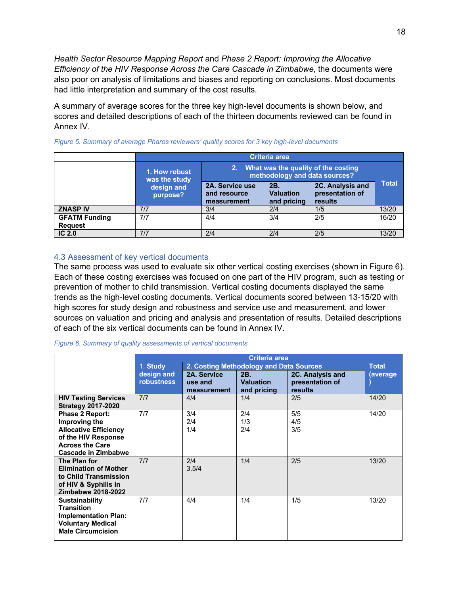*Health Sector Resource Mapping Report* and *Phase 2 Report: Improving the Allocative Efficiency of the HIV Response Across the Care Cascade in Zimbabwe*, the documents were also poor on analysis of limitations and biases and reporting on conclusions. Most documents had little interpretation and summary of the cost results.

A summary of average scores for the three key high-level documents is shown below, and scores and detailed descriptions of each of the thirteen documents reviewed can be found in Annex IV.

|                                        |                                | <b>Criteria area</b>                                                    |                                        |                                                |              |  |  |  |  |
|----------------------------------------|--------------------------------|-------------------------------------------------------------------------|----------------------------------------|------------------------------------------------|--------------|--|--|--|--|
|                                        | 1. How robust<br>was the study | 2. What was the quality of the costing<br>methodology and data sources? |                                        |                                                |              |  |  |  |  |
|                                        | design and<br>purpose?         | 2A. Service use<br>and resource<br>measurement                          | 2B.<br><b>Valuation</b><br>and pricing | 2C. Analysis and<br>presentation of<br>results | <b>Total</b> |  |  |  |  |
| <b>ZNASPIV</b>                         | 7/7                            | 3/4                                                                     | 2/4                                    | 1/5                                            | 13/20        |  |  |  |  |
| <b>GFATM Funding</b><br><b>Request</b> | 7/7                            | 4/4                                                                     | 3/4                                    | 2/5                                            | 16/20        |  |  |  |  |
| IC <sub>2.0</sub>                      | 7/7                            | 2/4                                                                     | 2/4                                    | 2/5                                            | 13/20        |  |  |  |  |

#### *Figure 5. Summary of average Pharos reviewers' quality scores for 3 key high-level documents*

## 4.3 Assessment of key vertical documents

The same process was used to evaluate six other vertical costing exercises (shown in Figure 6). Each of these costing exercises was focused on one part of the HIV program, such as testing or prevention of mother to child transmission. Vertical costing documents displayed the same trends as the high-level costing documents. Vertical documents scored between 13-15/20 with high scores for study design and robustness and service use and measurement, and lower sources on valuation and pricing and analysis and presentation of results. Detailed descriptions of each of the six vertical documents can be found in Annex IV.

#### *Figure 6. Summary of quality assessments of vertical documents*

|                              | <b>Criteria area</b>     |                                         |                         |                            |          |  |  |  |
|------------------------------|--------------------------|-----------------------------------------|-------------------------|----------------------------|----------|--|--|--|
|                              | 1. Study                 | 2. Costing Methodology and Data Sources |                         | <b>Total</b>               |          |  |  |  |
|                              | design and<br>robustness | 2A. Service<br>use and                  | 2B.<br><b>Valuation</b> | 2C. Analysis and           | average) |  |  |  |
|                              |                          | measurement                             | and pricing             | presentation of<br>results |          |  |  |  |
| <b>HIV Testing Services</b>  | 7/7                      | 4/4                                     | 1/4                     | 2/5                        | 14/20    |  |  |  |
| <b>Strategy 2017-2020</b>    |                          |                                         |                         |                            |          |  |  |  |
| <b>Phase 2 Report:</b>       | 7/7                      | 3/4                                     | 2/4                     | 5/5                        | 14/20    |  |  |  |
| Improving the                |                          | 2/4                                     | 1/3                     | 4/5                        |          |  |  |  |
| <b>Allocative Efficiency</b> |                          | 1/4                                     | 2/4                     | 3/5                        |          |  |  |  |
| of the HIV Response          |                          |                                         |                         |                            |          |  |  |  |
| <b>Across the Care</b>       |                          |                                         |                         |                            |          |  |  |  |
| Cascade in Zimbabwe          |                          |                                         |                         |                            |          |  |  |  |
| The Plan for                 | 7/7                      | 2/4                                     | 1/4                     | 2/5                        | 13/20    |  |  |  |
| <b>Elimination of Mother</b> |                          | 3.5/4                                   |                         |                            |          |  |  |  |
| to Child Transmission        |                          |                                         |                         |                            |          |  |  |  |
| of HIV & Syphilis in         |                          |                                         |                         |                            |          |  |  |  |
| <b>Zimbabwe 2018-2022</b>    |                          |                                         |                         |                            |          |  |  |  |
| <b>Sustainability</b>        | 7/7                      | 4/4                                     | 1/4                     | 1/5                        | 13/20    |  |  |  |
| <b>Transition</b>            |                          |                                         |                         |                            |          |  |  |  |
| <b>Implementation Plan:</b>  |                          |                                         |                         |                            |          |  |  |  |
| <b>Voluntary Medical</b>     |                          |                                         |                         |                            |          |  |  |  |
| <b>Male Circumcision</b>     |                          |                                         |                         |                            |          |  |  |  |
|                              |                          |                                         |                         |                            |          |  |  |  |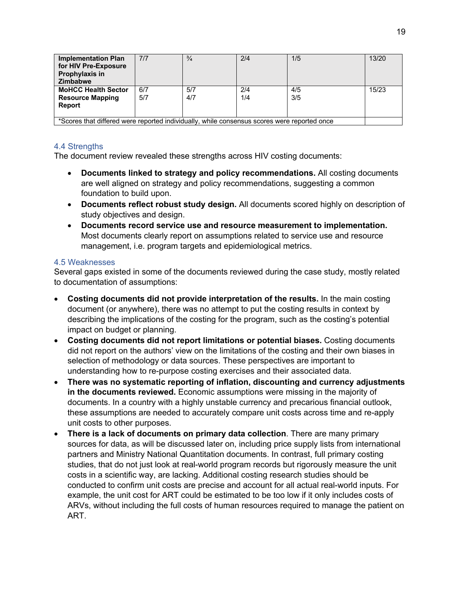| <b>Implementation Plan</b><br>for HIV Pre-Exposure<br>Prophylaxis in<br><b>Zimbabwe</b>     | 7/7 | $\frac{3}{4}$ | 2/4 | 1/5 | 13/20 |
|---------------------------------------------------------------------------------------------|-----|---------------|-----|-----|-------|
| <b>MoHCC Health Sector</b>                                                                  | 6/7 | 5/7           | 2/4 | 4/5 | 15/23 |
| <b>Resource Mapping</b>                                                                     | 5/7 | 4/7           | 1/4 | 3/5 |       |
| <b>Report</b>                                                                               |     |               |     |     |       |
|                                                                                             |     |               |     |     |       |
| *Scores that differed were reported individually, while consensus scores were reported once |     |               |     |     |       |

## 4.4 Strengths

The document review revealed these strengths across HIV costing documents:

- **Documents linked to strategy and policy recommendations.** All costing documents are well aligned on strategy and policy recommendations, suggesting a common foundation to build upon.
- **Documents reflect robust study design.** All documents scored highly on description of study objectives and design.
- **Documents record service use and resource measurement to implementation.**  Most documents clearly report on assumptions related to service use and resource management, i.e. program targets and epidemiological metrics.

## 4.5 Weaknesses

Several gaps existed in some of the documents reviewed during the case study, mostly related to documentation of assumptions:

- **Costing documents did not provide interpretation of the results.** In the main costing document (or anywhere), there was no attempt to put the costing results in context by describing the implications of the costing for the program, such as the costing's potential impact on budget or planning.
- **Costing documents did not report limitations or potential biases.** Costing documents did not report on the authors' view on the limitations of the costing and their own biases in selection of methodology or data sources. These perspectives are important to understanding how to re-purpose costing exercises and their associated data.
- **There was no systematic reporting of inflation, discounting and currency adjustments in the documents reviewed.** Economic assumptions were missing in the majority of documents. In a country with a highly unstable currency and precarious financial outlook, these assumptions are needed to accurately compare unit costs across time and re-apply unit costs to other purposes.
- **There is a lack of documents on primary data collection**. There are many primary sources for data, as will be discussed later on, including price supply lists from international partners and Ministry National Quantitation documents. In contrast, full primary costing studies, that do not just look at real-world program records but rigorously measure the unit costs in a scientific way, are lacking. Additional costing research studies should be conducted to confirm unit costs are precise and account for all actual real-world inputs. For example, the unit cost for ART could be estimated to be too low if it only includes costs of ARVs, without including the full costs of human resources required to manage the patient on ART.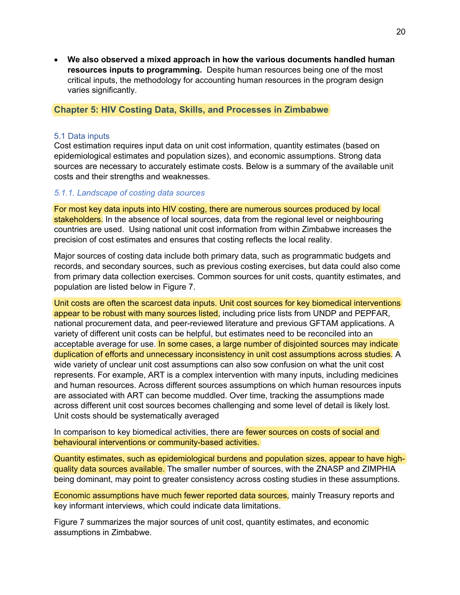• **We also observed a mixed approach in how the various documents handled human resources inputs to programming.** Despite human resources being one of the most critical inputs, the methodology for accounting human resources in the program design varies significantly.

#### **Chapter 5: HIV Costing Data, Skills, and Processes in Zimbabwe**

#### 5.1 Data inputs

Cost estimation requires input data on unit cost information, quantity estimates (based on epidemiological estimates and population sizes), and economic assumptions. Strong data sources are necessary to accurately estimate costs. Below is a summary of the available unit costs and their strengths and weaknesses.

#### *5.1.1. Landscape of costing data sources*

For most key data inputs into HIV costing, there are numerous sources produced by local stakeholders. In the absence of local sources, data from the regional level or neighbouring countries are used. Using national unit cost information from within Zimbabwe increases the precision of cost estimates and ensures that costing reflects the local reality.

Major sources of costing data include both primary data, such as programmatic budgets and records, and secondary sources, such as previous costing exercises, but data could also come from primary data collection exercises. Common sources for unit costs, quantity estimates, and population are listed below in Figure 7.

Unit costs are often the scarcest data inputs. Unit cost sources for key biomedical interventions appear to be robust with many sources listed, including price lists from UNDP and PEPFAR, national procurement data, and peer-reviewed literature and previous GFTAM applications. A variety of different unit costs can be helpful, but estimates need to be reconciled into an acceptable average for use. In some cases, a large number of disjointed sources may indicate duplication of efforts and unnecessary inconsistency in unit cost assumptions across studies. A wide variety of unclear unit cost assumptions can also sow confusion on what the unit cost represents. For example, ART is a complex intervention with many inputs, including medicines and human resources. Across different sources assumptions on which human resources inputs are associated with ART can become muddled. Over time, tracking the assumptions made across different unit cost sources becomes challenging and some level of detail is likely lost. Unit costs should be systematically averaged

In comparison to key biomedical activities, there are **fewer sources on costs of social and** behavioural interventions or community-based activities.

Quantity estimates, such as epidemiological burdens and population sizes, appear to have highquality data sources available. The smaller number of sources, with the ZNASP and ZIMPHIA being dominant, may point to greater consistency across costing studies in these assumptions.

Economic assumptions have much fewer reported data sources, mainly Treasury reports and key informant interviews, which could indicate data limitations.

Figure 7 summarizes the major sources of unit cost, quantity estimates, and economic assumptions in Zimbabwe.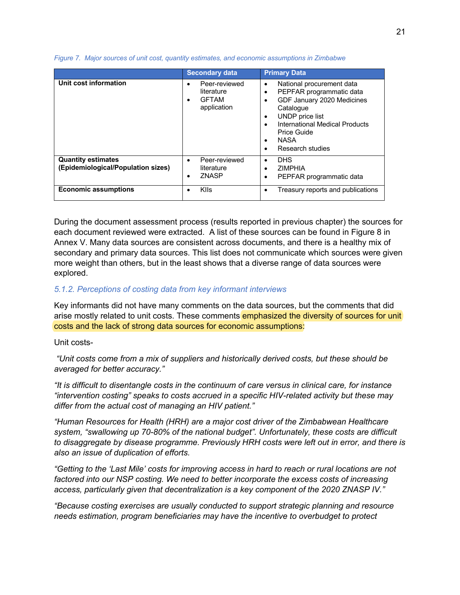|                                                                                                | <b>Secondary data</b>                                            | <b>Primary Data</b>                                                                                                                                                                                                                                                       |
|------------------------------------------------------------------------------------------------|------------------------------------------------------------------|---------------------------------------------------------------------------------------------------------------------------------------------------------------------------------------------------------------------------------------------------------------------------|
| Unit cost information                                                                          | Peer-reviewed<br>literature<br><b>GFTAM</b><br>٠<br>application  | National procurement data<br>$\bullet$<br>PEPFAR programmatic data<br>٠<br>GDF January 2020 Medicines<br>٠<br>Catalogue<br>UNDP price list<br>$\bullet$<br><b>International Medical Products</b><br>$\bullet$<br>Price Guide<br><b>NASA</b><br>٠<br>Research studies<br>٠ |
| <b>Quantity estimates</b><br>(Epidemiological/Population sizes)<br><b>Economic assumptions</b> | Peer-reviewed<br>$\bullet$<br>literature<br><b>ZNASP</b><br>Klls | <b>DHS</b><br>$\bullet$<br><b>ZIMPHIA</b><br>٠<br>PEPFAR programmatic data<br>٠<br>Treasury reports and publications<br>٠                                                                                                                                                 |

#### *Figure 7. Major sources of unit cost, quantity estimates, and economic assumptions in Zimbabwe*

During the document assessment process (results reported in previous chapter) the sources for each document reviewed were extracted. A list of these sources can be found in Figure 8 in Annex V. Many data sources are consistent across documents, and there is a healthy mix of secondary and primary data sources. This list does not communicate which sources were given more weight than others, but in the least shows that a diverse range of data sources were explored.

## *5.1.2. Perceptions of costing data from key informant interviews*

Key informants did not have many comments on the data sources, but the comments that did arise mostly related to unit costs. These comments emphasized the diversity of sources for unit costs and the lack of strong data sources for economic assumptions:

Unit costs-

*"Unit costs come from a mix of suppliers and historically derived costs, but these should be averaged for better accuracy."*

*"It is difficult to disentangle costs in the continuum of care versus in clinical care, for instance "intervention costing" speaks to costs accrued in a specific HIV-related activity but these may differ from the actual cost of managing an HIV patient."*

*"Human Resources for Health (HRH) are a major cost driver of the Zimbabwean Healthcare system, "swallowing up 70-80% of the national budget". Unfortunately, these costs are difficult to disaggregate by disease programme. Previously HRH costs were left out in error, and there is also an issue of duplication of efforts.* 

*"Getting to the 'Last Mile' costs for improving access in hard to reach or rural locations are not factored into our NSP costing. We need to better incorporate the excess costs of increasing access, particularly given that decentralization is a key component of the 2020 ZNASP IV."*

*"Because costing exercises are usually conducted to support strategic planning and resource needs estimation, program beneficiaries may have the incentive to overbudget to protect*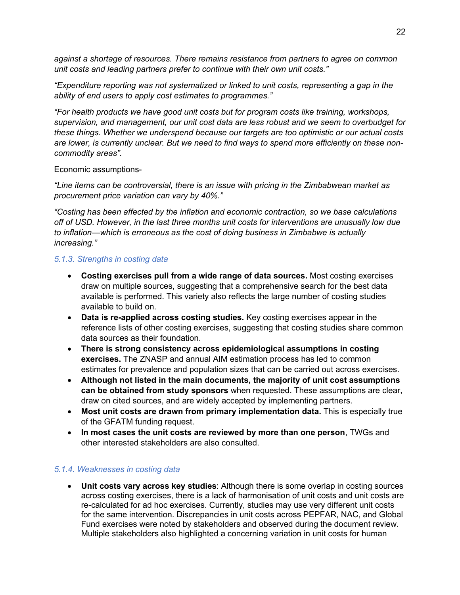*against a shortage of resources. There remains resistance from partners to agree on common unit costs and leading partners prefer to continue with their own unit costs."*

*"Expenditure reporting was not systematized or linked to unit costs, representing a gap in the ability of end users to apply cost estimates to programmes."*

*"For health products we have good unit costs but for program costs like training, workshops, supervision, and management, our unit cost data are less robust and we seem to overbudget for these things. Whether we underspend because our targets are too optimistic or our actual costs are lower, is currently unclear. But we need to find ways to spend more efficiently on these noncommodity areas".*

Economic assumptions-

*"Line items can be controversial, there is an issue with pricing in the Zimbabwean market as procurement price variation can vary by 40%."* 

*"Costing has been affected by the inflation and economic contraction, so we base calculations off of USD. However, in the last three months unit costs for interventions are unusually low due to inflation—which is erroneous as the cost of doing business in Zimbabwe is actually increasing."* 

## *5.1.3. Strengths in costing data*

- **Costing exercises pull from a wide range of data sources.** Most costing exercises draw on multiple sources, suggesting that a comprehensive search for the best data available is performed. This variety also reflects the large number of costing studies available to build on.
- **Data is re-applied across costing studies.** Key costing exercises appear in the reference lists of other costing exercises, suggesting that costing studies share common data sources as their foundation.
- **There is strong consistency across epidemiological assumptions in costing exercises.** The ZNASP and annual AIM estimation process has led to common estimates for prevalence and population sizes that can be carried out across exercises.
- **Although not listed in the main documents, the majority of unit cost assumptions can be obtained from study sponsors** when requested. These assumptions are clear, draw on cited sources, and are widely accepted by implementing partners.
- **Most unit costs are drawn from primary implementation data.** This is especially true of the GFATM funding request.
- **In most cases the unit costs are reviewed by more than one person**, TWGs and other interested stakeholders are also consulted.

## *5.1.4. Weaknesses in costing data*

• **Unit costs vary across key studies**: Although there is some overlap in costing sources across costing exercises, there is a lack of harmonisation of unit costs and unit costs are re-calculated for ad hoc exercises. Currently, studies may use very different unit costs for the same intervention. Discrepancies in unit costs across PEPFAR, NAC, and Global Fund exercises were noted by stakeholders and observed during the document review. Multiple stakeholders also highlighted a concerning variation in unit costs for human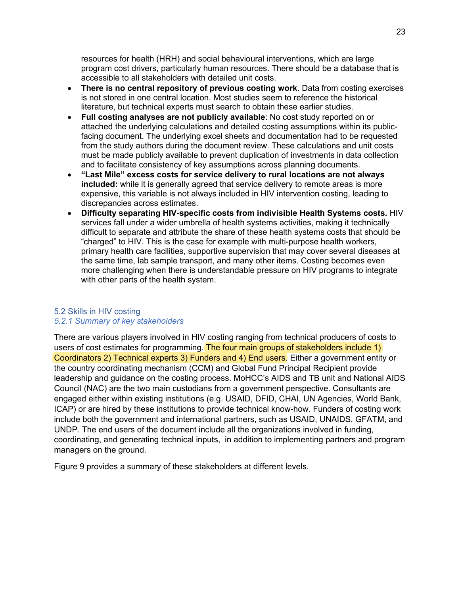resources for health (HRH) and social behavioural interventions, which are large program cost drivers, particularly human resources. There should be a database that is accessible to all stakeholders with detailed unit costs.

- **There is no central repository of previous costing work**. Data from costing exercises is not stored in one central location. Most studies seem to reference the historical literature, but technical experts must search to obtain these earlier studies.
- **Full costing analyses are not publicly available**: No cost study reported on or attached the underlying calculations and detailed costing assumptions within its publicfacing document. The underlying excel sheets and documentation had to be requested from the study authors during the document review. These calculations and unit costs must be made publicly available to prevent duplication of investments in data collection and to facilitate consistency of key assumptions across planning documents.
- **"Last Mile" excess costs for service delivery to rural locations are not always included:** while it is generally agreed that service delivery to remote areas is more expensive, this variable is not always included in HIV intervention costing, leading to discrepancies across estimates.
- **Difficulty separating HIV-specific costs from indivisible Health Systems costs.** HIV services fall under a wider umbrella of health systems activities, making it technically difficult to separate and attribute the share of these health systems costs that should be "charged" to HIV. This is the case for example with multi-purpose health workers, primary health care facilities, supportive supervision that may cover several diseases at the same time, lab sample transport, and many other items. Costing becomes even more challenging when there is understandable pressure on HIV programs to integrate with other parts of the health system.

## 5.2 Skills in HIV costing *5.2.1 Summary of key stakeholders*

There are various players involved in HIV costing ranging from technical producers of costs to users of cost estimates for programming. The four main groups of stakeholders include 1) Coordinators 2) Technical experts 3) Funders and 4) End users. Either a government entity or the country coordinating mechanism (CCM) and Global Fund Principal Recipient provide leadership and guidance on the costing process. MoHCC's AIDS and TB unit and National AIDS Council (NAC) are the two main custodians from a government perspective. Consultants are engaged either within existing institutions (e.g. USAID, DFID, CHAI, UN Agencies, World Bank, ICAP) or are hired by these institutions to provide technical know-how. Funders of costing work include both the government and international partners, such as USAID, UNAIDS, GFATM, and UNDP. The end users of the document include all the organizations involved in funding, coordinating, and generating technical inputs, in addition to implementing partners and program managers on the ground.

Figure 9 provides a summary of these stakeholders at different levels.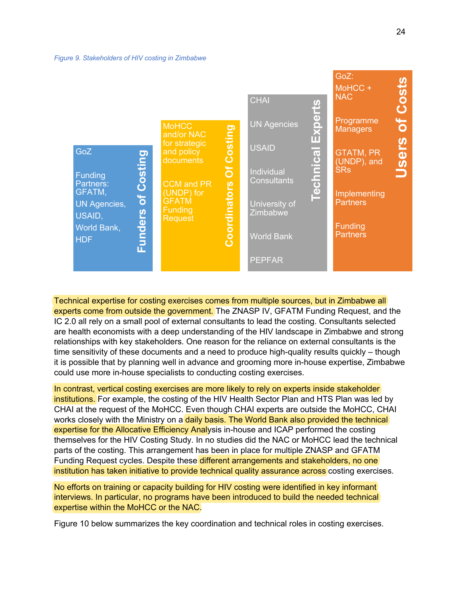

Technical expertise for costing exercises comes from multiple sources, but in Zimbabwe all experts come from outside the government*.* The ZNASP IV, GFATM Funding Request, and the IC 2.0 all rely on a small pool of external consultants to lead the costing. Consultants selected are health economists with a deep understanding of the HIV landscape in Zimbabwe and strong relationships with key stakeholders. One reason for the reliance on external consultants is the time sensitivity of these documents and a need to produce high-quality results quickly – though it is possible that by planning well in advance and grooming more in-house expertise, Zimbabwe could use more in-house specialists to conducting costing exercises.

In contrast, vertical costing exercises are more likely to rely on experts inside stakeholder institutions. For example, the costing of the HIV Health Sector Plan and HTS Plan was led by CHAI at the request of the MoHCC. Even though CHAI experts are outside the MoHCC, CHAI works closely with the Ministry on a daily basis. The World Bank also provided the technical expertise for the Allocative Efficiency Analysis in-house and ICAP performed the costing themselves for the HIV Costing Study. In no studies did the NAC or MoHCC lead the technical parts of the costing. This arrangement has been in place for multiple ZNASP and GFATM Funding Request cycles. Despite these different arrangements and stakeholders, no one institution has taken initiative to provide technical quality assurance across costing exercises.

No efforts on training or capacity building for HIV costing were identified in key informant interviews. In particular, no programs have been introduced to build the needed technical expertise within the MoHCC or the NAC.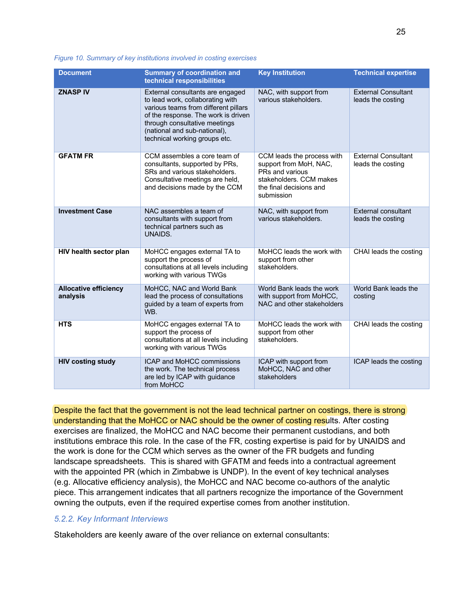| <b>Document</b>                          | <b>Summary of coordination and</b><br>technical responsibilities                                                                                                                                                                                      | <b>Key Institution</b>                                                                                                                      | <b>Technical expertise</b>                      |
|------------------------------------------|-------------------------------------------------------------------------------------------------------------------------------------------------------------------------------------------------------------------------------------------------------|---------------------------------------------------------------------------------------------------------------------------------------------|-------------------------------------------------|
| <b>ZNASPIV</b>                           | External consultants are engaged<br>to lead work, collaborating with<br>various teams from different pillars<br>of the response. The work is driven<br>through consultative meetings<br>(national and sub-national),<br>technical working groups etc. | NAC, with support from<br>various stakeholders.                                                                                             | <b>External Consultant</b><br>leads the costing |
| <b>GFATM FR</b>                          | CCM assembles a core team of<br>consultants, supported by PRs,<br>SRs and various stakeholders.<br>Consultative meetings are held,<br>and decisions made by the CCM                                                                                   | CCM leads the process with<br>support from MoH, NAC,<br>PRs and various<br>stakeholders, CCM makes<br>the final decisions and<br>submission | <b>External Consultant</b><br>leads the costing |
| <b>Investment Case</b>                   | NAC assembles a team of<br>consultants with support from<br>technical partners such as<br>UNAIDS.                                                                                                                                                     | NAC, with support from<br>various stakeholders.                                                                                             | External consultant<br>leads the costing        |
| HIV health sector plan                   | MoHCC engages external TA to<br>support the process of<br>consultations at all levels including<br>working with various TWGs                                                                                                                          | MoHCC leads the work with<br>support from other<br>stakeholders.                                                                            | CHAI leads the costing                          |
| <b>Allocative efficiency</b><br>analysis | MoHCC, NAC and World Bank<br>lead the process of consultations<br>guided by a team of experts from<br>WB.                                                                                                                                             | World Bank leads the work<br>with support from MoHCC,<br>NAC and other stakeholders                                                         | World Bank leads the<br>costing                 |
| <b>HTS</b>                               | MoHCC engages external TA to<br>support the process of<br>consultations at all levels including<br>working with various TWGs                                                                                                                          | MoHCC leads the work with<br>support from other<br>stakeholders.                                                                            | CHAI leads the costing                          |
| <b>HIV costing study</b>                 | ICAP and MoHCC commissions<br>the work. The technical process<br>are led by ICAP with guidance<br>from MoHCC                                                                                                                                          | ICAP with support from<br>MoHCC, NAC and other<br>stakeholders                                                                              | ICAP leads the costing                          |

*Figure 10. Summary of key institutions involved in costing exercises*

Despite the fact that the government is not the lead technical partner on costings, there is strong understanding that the MoHCC or NAC should be the owner of costing results. After costing exercises are finalized, the MoHCC and NAC become their permanent custodians, and both institutions embrace this role. In the case of the FR, costing expertise is paid for by UNAIDS and the work is done for the CCM which serves as the owner of the FR budgets and funding landscape spreadsheets. This is shared with GFATM and feeds into a contractual agreement with the appointed PR (which in Zimbabwe is UNDP). In the event of key technical analyses (e.g. Allocative efficiency analysis), the MoHCC and NAC become co-authors of the analytic piece. This arrangement indicates that all partners recognize the importance of the Government owning the outputs, even if the required expertise comes from another institution.

## *5.2.2. Key Informant Interviews*

Stakeholders are keenly aware of the over reliance on external consultants: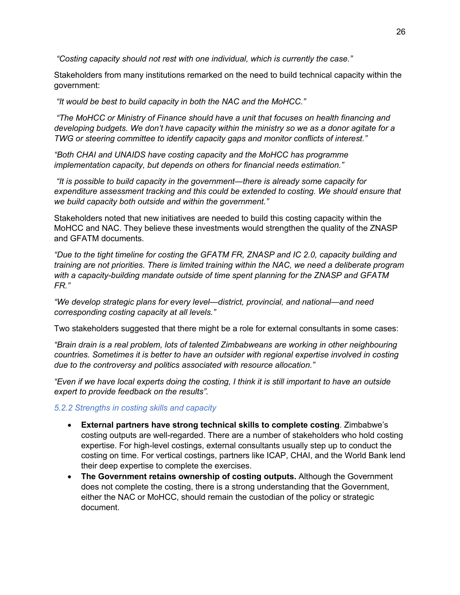*"Costing capacity should not rest with one individual, which is currently the case."*

Stakeholders from many institutions remarked on the need to build technical capacity within the government:

*"It would be best to build capacity in both the NAC and the MoHCC."*

*"The MoHCC or Ministry of Finance should have a unit that focuses on health financing and developing budgets. We don't have capacity within the ministry so we as a donor agitate for a TWG or steering committee to identify capacity gaps and monitor conflicts of interest."*

*"Both CHAI and UNAIDS have costing capacity and the MoHCC has programme implementation capacity, but depends on others for financial needs estimation."* 

*"It is possible to build capacity in the government—there is already some capacity for expenditure assessment tracking and this could be extended to costing. We should ensure that we build capacity both outside and within the government."*

Stakeholders noted that new initiatives are needed to build this costing capacity within the MoHCC and NAC. They believe these investments would strengthen the quality of the ZNASP and GFATM documents.

*"Due to the tight timeline for costing the GFATM FR, ZNASP and IC 2.0, capacity building and training are not priorities. There is limited training within the NAC, we need a deliberate program with a capacity-building mandate outside of time spent planning for the ZNASP and GFATM FR."*

*"We develop strategic plans for every level—district, provincial, and national—and need corresponding costing capacity at all levels."*

Two stakeholders suggested that there might be a role for external consultants in some cases:

*"Brain drain is a real problem, lots of talented Zimbabweans are working in other neighbouring countries. Sometimes it is better to have an outsider with regional expertise involved in costing due to the controversy and politics associated with resource allocation."*

*"Even if we have local experts doing the costing, I think it is still important to have an outside expert to provide feedback on the results".*

## *5.2.2 Strengths in costing skills and capacity*

- **External partners have strong technical skills to complete costing**. Zimbabwe's costing outputs are well-regarded. There are a number of stakeholders who hold costing expertise. For high-level costings, external consultants usually step up to conduct the costing on time. For vertical costings, partners like ICAP, CHAI, and the World Bank lend their deep expertise to complete the exercises.
- **The Government retains ownership of costing outputs.** Although the Government does not complete the costing, there is a strong understanding that the Government, either the NAC or MoHCC, should remain the custodian of the policy or strategic document.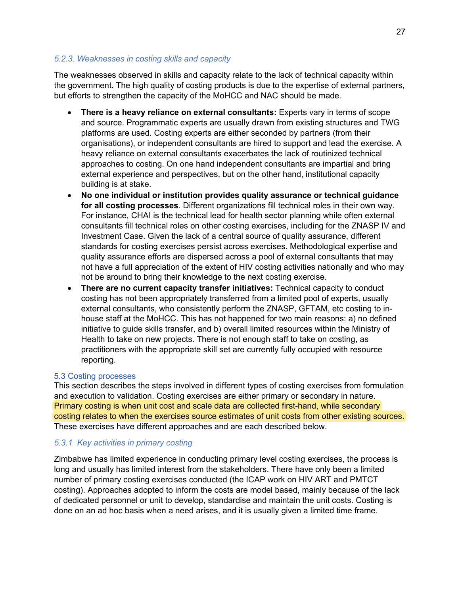#### *5.2.3. Weaknesses in costing skills and capacity*

The weaknesses observed in skills and capacity relate to the lack of technical capacity within the government. The high quality of costing products is due to the expertise of external partners, but efforts to strengthen the capacity of the MoHCC and NAC should be made.

- **There is a heavy reliance on external consultants:** Experts vary in terms of scope and source. Programmatic experts are usually drawn from existing structures and TWG platforms are used. Costing experts are either seconded by partners (from their organisations), or independent consultants are hired to support and lead the exercise. A heavy reliance on external consultants exacerbates the lack of routinized technical approaches to costing. On one hand independent consultants are impartial and bring external experience and perspectives, but on the other hand, institutional capacity building is at stake.
- **No one individual or institution provides quality assurance or technical guidance for all costing processes**. Different organizations fill technical roles in their own way. For instance, CHAI is the technical lead for health sector planning while often external consultants fill technical roles on other costing exercises, including for the ZNASP IV and Investment Case. Given the lack of a central source of quality assurance, different standards for costing exercises persist across exercises. Methodological expertise and quality assurance efforts are dispersed across a pool of external consultants that may not have a full appreciation of the extent of HIV costing activities nationally and who may not be around to bring their knowledge to the next costing exercise.
- **There are no current capacity transfer initiatives:** Technical capacity to conduct costing has not been appropriately transferred from a limited pool of experts, usually external consultants, who consistently perform the ZNASP, GFTAM, etc costing to inhouse staff at the MoHCC. This has not happened for two main reasons: a) no defined initiative to guide skills transfer, and b) overall limited resources within the Ministry of Health to take on new projects. There is not enough staff to take on costing, as practitioners with the appropriate skill set are currently fully occupied with resource reporting.

## 5.3 Costing processes

This section describes the steps involved in different types of costing exercises from formulation and execution to validation. Costing exercises are either primary or secondary in nature. Primary costing is when unit cost and scale data are collected first-hand, while secondary costing relates to when the exercises source estimates of unit costs from other existing sources. These exercises have different approaches and are each described below.

## *5.3.1 Key activities in primary costing*

Zimbabwe has limited experience in conducting primary level costing exercises, the process is long and usually has limited interest from the stakeholders. There have only been a limited number of primary costing exercises conducted (the ICAP work on HIV ART and PMTCT costing). Approaches adopted to inform the costs are model based, mainly because of the lack of dedicated personnel or unit to develop, standardise and maintain the unit costs. Costing is done on an ad hoc basis when a need arises, and it is usually given a limited time frame.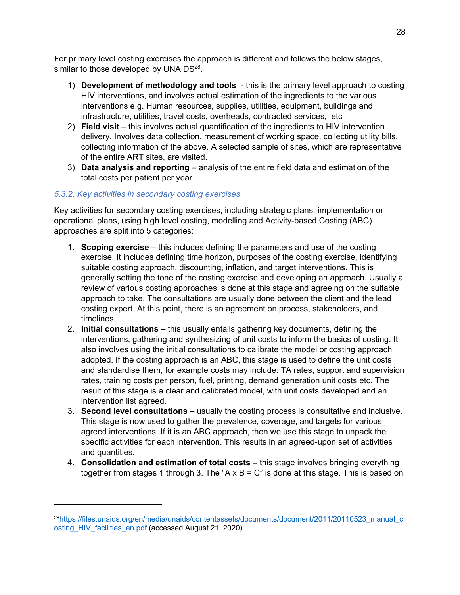For primary level costing exercises the approach is different and follows the below stages, similar to those developed by UNAID $S^{28}$ .

- 1) **Development of methodology and tools** this is the primary level approach to costing HIV interventions, and involves actual estimation of the ingredients to the various interventions e.g. Human resources, supplies, utilities, equipment, buildings and infrastructure, utilities, travel costs, overheads, contracted services, etc
- 2) **Field visit** this involves actual quantification of the ingredients to HIV intervention delivery. Involves data collection, measurement of working space, collecting utility bills, collecting information of the above. A selected sample of sites, which are representative of the entire ART sites, are visited.
- 3) **Data analysis and reporting**  analysis of the entire field data and estimation of the total costs per patient per year.

## *5.3.2. Key activities in secondary costing exercises*

Key activities for secondary costing exercises, including strategic plans, implementation or operational plans, using high level costing, modelling and Activity-based Costing (ABC) approaches are split into 5 categories:

- 1. **Scoping exercise** this includes defining the parameters and use of the costing exercise. It includes defining time horizon, purposes of the costing exercise, identifying suitable costing approach, discounting, inflation, and target interventions. This is generally setting the tone of the costing exercise and developing an approach. Usually a review of various costing approaches is done at this stage and agreeing on the suitable approach to take. The consultations are usually done between the client and the lead costing expert. At this point, there is an agreement on process, stakeholders, and timelines.
- 2. **Initial consultations**  this usually entails gathering key documents, defining the interventions, gathering and synthesizing of unit costs to inform the basics of costing. It also involves using the initial consultations to calibrate the model or costing approach adopted. If the costing approach is an ABC, this stage is used to define the unit costs and standardise them, for example costs may include: TA rates, support and supervision rates, training costs per person, fuel, printing, demand generation unit costs etc. The result of this stage is a clear and calibrated model, with unit costs developed and an intervention list agreed.
- 3. **Second level consultations**  usually the costing process is consultative and inclusive. This stage is now used to gather the prevalence, coverage, and targets for various agreed interventions. If it is an ABC approach, then we use this stage to unpack the specific activities for each intervention. This results in an agreed-upon set of activities and quantities.
- 4. **Consolidation and estimation of total costs –** this stage involves bringing everything together from stages 1 through 3. The "A  $\times$  B = C" is done at this stage. This is based on

<sup>&</sup>lt;sup>28</sup>https://files.unaids.org/en/media/unaids/contentassets/documents/document/2011/20110523\_manual\_c osting\_HIV\_facilities\_en.pdf (accessed August 21, 2020)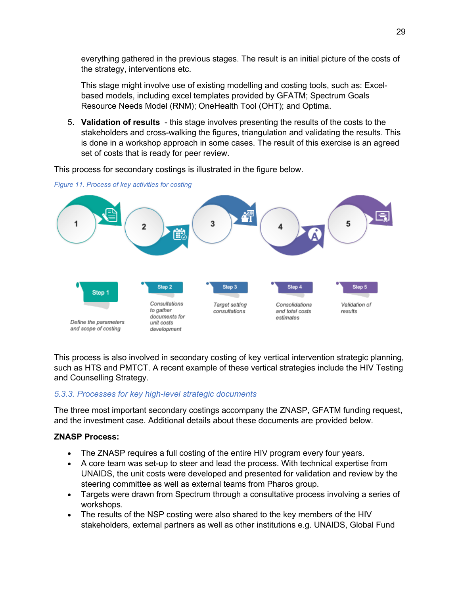everything gathered in the previous stages. The result is an initial picture of the costs of the strategy, interventions etc.

This stage might involve use of existing modelling and costing tools, such as: Excelbased models, including excel templates provided by GFATM; Spectrum Goals Resource Needs Model (RNM); OneHealth Tool (OHT); and Optima.

5. **Validation of results** - this stage involves presenting the results of the costs to the stakeholders and cross-walking the figures, triangulation and validating the results. This is done in a workshop approach in some cases. The result of this exercise is an agreed set of costs that is ready for peer review.

This process for secondary costings is illustrated in the figure below.



This process is also involved in secondary costing of key vertical intervention strategic planning, such as HTS and PMTCT. A recent example of these vertical strategies include the HIV Testing and Counselling Strategy.

## *5.3.3. Processes for key high-level strategic documents*

The three most important secondary costings accompany the ZNASP, GFATM funding request, and the investment case. Additional details about these documents are provided below.

## **ZNASP Process:**

- The ZNASP requires a full costing of the entire HIV program every four years.
- A core team was set-up to steer and lead the process. With technical expertise from UNAIDS, the unit costs were developed and presented for validation and review by the steering committee as well as external teams from Pharos group.
- Targets were drawn from Spectrum through a consultative process involving a series of workshops.
- The results of the NSP costing were also shared to the key members of the HIV stakeholders, external partners as well as other institutions e.g. UNAIDS, Global Fund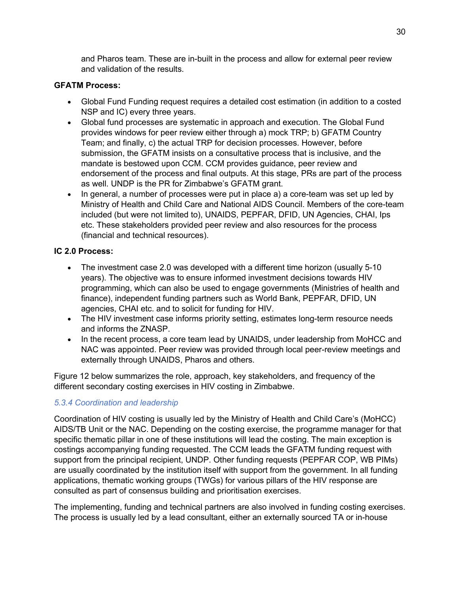and Pharos team. These are in-built in the process and allow for external peer review and validation of the results.

## **GFATM Process:**

- Global Fund Funding request requires a detailed cost estimation (in addition to a costed NSP and IC) every three years.
- Global fund processes are systematic in approach and execution. The Global Fund provides windows for peer review either through a) mock TRP; b) GFATM Country Team; and finally, c) the actual TRP for decision processes. However, before submission, the GFATM insists on a consultative process that is inclusive, and the mandate is bestowed upon CCM. CCM provides guidance, peer review and endorsement of the process and final outputs. At this stage, PRs are part of the process as well. UNDP is the PR for Zimbabwe's GFATM grant.
- In general, a number of processes were put in place a) a core-team was set up led by Ministry of Health and Child Care and National AIDS Council. Members of the core-team included (but were not limited to), UNAIDS, PEPFAR, DFID, UN Agencies, CHAI, Ips etc. These stakeholders provided peer review and also resources for the process (financial and technical resources).

## **IC 2.0 Process:**

- The investment case 2.0 was developed with a different time horizon (usually 5-10) years). The objective was to ensure informed investment decisions towards HIV programming, which can also be used to engage governments (Ministries of health and finance), independent funding partners such as World Bank, PEPFAR, DFID, UN agencies, CHAI etc. and to solicit for funding for HIV.
- The HIV investment case informs priority setting, estimates long-term resource needs and informs the ZNASP.
- In the recent process, a core team lead by UNAIDS, under leadership from MoHCC and NAC was appointed. Peer review was provided through local peer-review meetings and externally through UNAIDS, Pharos and others.

Figure 12 below summarizes the role, approach, key stakeholders, and frequency of the different secondary costing exercises in HIV costing in Zimbabwe.

## *5.3.4 Coordination and leadership*

Coordination of HIV costing is usually led by the Ministry of Health and Child Care's (MoHCC) AIDS/TB Unit or the NAC. Depending on the costing exercise, the programme manager for that specific thematic pillar in one of these institutions will lead the costing. The main exception is costings accompanying funding requested. The CCM leads the GFATM funding request with support from the principal recipient, UNDP. Other funding requests (PEPFAR COP, WB PIMs) are usually coordinated by the institution itself with support from the government. In all funding applications, thematic working groups (TWGs) for various pillars of the HIV response are consulted as part of consensus building and prioritisation exercises.

The implementing, funding and technical partners are also involved in funding costing exercises. The process is usually led by a lead consultant, either an externally sourced TA or in-house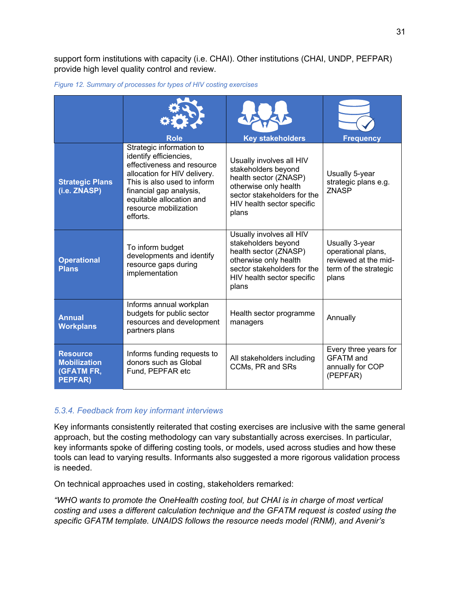support form institutions with capacity (i.e. CHAI). Other institutions (CHAI, UNDP, PEFPAR) provide high level quality control and review.

|                                                                               | <b>Role</b>                                                                                                                                                                                                                                 | <b>Key stakeholders</b>                                                                                                                                                 | <b>Frequency</b>                                                                               |
|-------------------------------------------------------------------------------|---------------------------------------------------------------------------------------------------------------------------------------------------------------------------------------------------------------------------------------------|-------------------------------------------------------------------------------------------------------------------------------------------------------------------------|------------------------------------------------------------------------------------------------|
| <b>Strategic Plans</b><br>(i.e. ZNASP)                                        | Strategic information to<br>identify efficiencies,<br>effectiveness and resource<br>allocation for HIV delivery.<br>This is also used to inform<br>financial gap analysis,<br>equitable allocation and<br>resource mobilization<br>efforts. | Usually involves all HIV<br>stakeholders beyond<br>health sector (ZNASP)<br>otherwise only health<br>sector stakeholders for the<br>HIV health sector specific<br>plans | Usually 5-year<br>strategic plans e.g.<br><b>ZNASP</b>                                         |
| <b>Operational</b><br><b>Plans</b>                                            | To inform budget<br>developments and identify<br>resource gaps during<br>implementation                                                                                                                                                     | Usually involves all HIV<br>stakeholders beyond<br>health sector (ZNASP)<br>otherwise only health<br>sector stakeholders for the<br>HIV health sector specific<br>plans | Usually 3-year<br>operational plans,<br>reviewed at the mid-<br>term of the strategic<br>plans |
| <b>Annual</b><br><b>Workplans</b>                                             | Informs annual workplan<br>budgets for public sector<br>resources and development<br>partners plans                                                                                                                                         | Health sector programme<br>managers                                                                                                                                     | Annually                                                                                       |
| <b>Resource</b><br><b>Mobilization</b><br><b>(GFATM FR,</b><br><b>PEPFAR)</b> | Informs funding requests to<br>donors such as Global<br>Fund, PEPFAR etc                                                                                                                                                                    | All stakeholders including<br>CCMs, PR and SRs                                                                                                                          | Every three years for<br><b>GFATM</b> and<br>annually for COP<br>(PEPFAR)                      |

#### *Figure 12. Summary of processes for types of HIV costing exercises*

## *5.3.4. Feedback from key informant interviews*

Key informants consistently reiterated that costing exercises are inclusive with the same general approach, but the costing methodology can vary substantially across exercises. In particular, key informants spoke of differing costing tools, or models, used across studies and how these tools can lead to varying results. Informants also suggested a more rigorous validation process is needed.

On technical approaches used in costing, stakeholders remarked:

*"WHO wants to promote the OneHealth costing tool, but CHAI is in charge of most vertical costing and uses a different calculation technique and the GFATM request is costed using the specific GFATM template. UNAIDS follows the resource needs model (RNM), and Avenir's*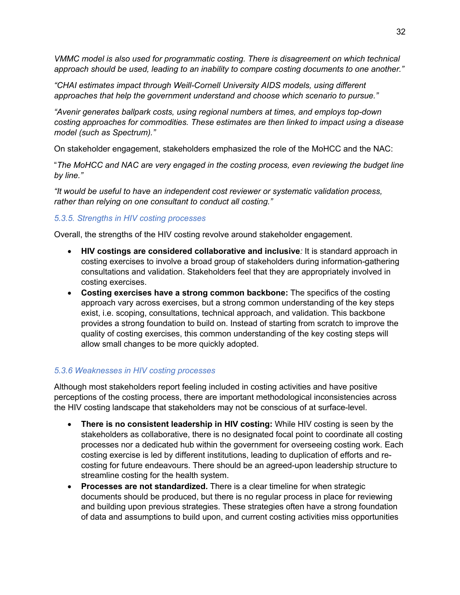*VMMC model is also used for programmatic costing. There is disagreement on which technical approach should be used, leading to an inability to compare costing documents to one another."*

*"CHAI estimates impact through Weill-Cornell University AIDS models, using different approaches that help the government understand and choose which scenario to pursue."* 

*"Avenir generates ballpark costs, using regional numbers at times, and employs top-down costing approaches for commodities. These estimates are then linked to impact using a disease model (such as Spectrum)."*

On stakeholder engagement, stakeholders emphasized the role of the MoHCC and the NAC:

"*The MoHCC and NAC are very engaged in the costing process, even reviewing the budget line by line."*

*"It would be useful to have an independent cost reviewer or systematic validation process, rather than relying on one consultant to conduct all costing."*

## *5.3.5. Strengths in HIV costing processes*

Overall, the strengths of the HIV costing revolve around stakeholder engagement.

- **HIV costings are considered collaborative and inclusive***:* It is standard approach in costing exercises to involve a broad group of stakeholders during information-gathering consultations and validation. Stakeholders feel that they are appropriately involved in costing exercises.
- **Costing exercises have a strong common backbone:** The specifics of the costing approach vary across exercises, but a strong common understanding of the key steps exist, i.e. scoping, consultations, technical approach, and validation. This backbone provides a strong foundation to build on. Instead of starting from scratch to improve the quality of costing exercises, this common understanding of the key costing steps will allow small changes to be more quickly adopted.

## *5.3.6 Weaknesses in HIV costing processes*

Although most stakeholders report feeling included in costing activities and have positive perceptions of the costing process, there are important methodological inconsistencies across the HIV costing landscape that stakeholders may not be conscious of at surface-level.

- **There is no consistent leadership in HIV costing:** While HIV costing is seen by the stakeholders as collaborative, there is no designated focal point to coordinate all costing processes nor a dedicated hub within the government for overseeing costing work. Each costing exercise is led by different institutions, leading to duplication of efforts and recosting for future endeavours. There should be an agreed-upon leadership structure to streamline costing for the health system.
- **Processes are not standardized.** There is a clear timeline for when strategic documents should be produced, but there is no regular process in place for reviewing and building upon previous strategies. These strategies often have a strong foundation of data and assumptions to build upon, and current costing activities miss opportunities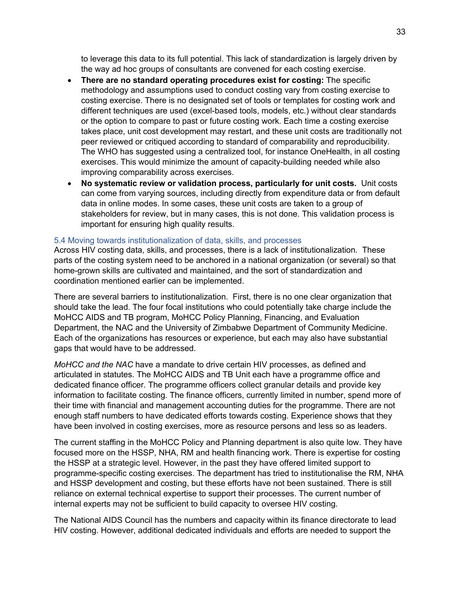to leverage this data to its full potential. This lack of standardization is largely driven by the way ad hoc groups of consultants are convened for each costing exercise.

- **There are no standard operating procedures exist for costing:** The specific methodology and assumptions used to conduct costing vary from costing exercise to costing exercise. There is no designated set of tools or templates for costing work and different techniques are used (excel-based tools, models, etc.) without clear standards or the option to compare to past or future costing work. Each time a costing exercise takes place, unit cost development may restart, and these unit costs are traditionally not peer reviewed or critiqued according to standard of comparability and reproducibility. The WHO has suggested using a centralized tool, for instance OneHealth, in all costing exercises. This would minimize the amount of capacity-building needed while also improving comparability across exercises.
- **No systematic review or validation process, particularly for unit costs.** Unit costs can come from varying sources, including directly from expenditure data or from default data in online modes. In some cases, these unit costs are taken to a group of stakeholders for review, but in many cases, this is not done. This validation process is important for ensuring high quality results.

#### 5.4 Moving towards institutionalization of data, skills, and processes

Across HIV costing data, skills, and processes, there is a lack of institutionalization. These parts of the costing system need to be anchored in a national organization (or several) so that home-grown skills are cultivated and maintained, and the sort of standardization and coordination mentioned earlier can be implemented.

There are several barriers to institutionalization. First, there is no one clear organization that should take the lead. The four focal institutions who could potentially take charge include the MoHCC AIDS and TB program, MoHCC Policy Planning, Financing, and Evaluation Department, the NAC and the University of Zimbabwe Department of Community Medicine. Each of the organizations has resources or experience, but each may also have substantial gaps that would have to be addressed.

*MoHCC and the NAC* have a mandate to drive certain HIV processes, as defined and articulated in statutes. The MoHCC AIDS and TB Unit each have a programme office and dedicated finance officer. The programme officers collect granular details and provide key information to facilitate costing. The finance officers, currently limited in number, spend more of their time with financial and management accounting duties for the programme. There are not enough staff numbers to have dedicated efforts towards costing. Experience shows that they have been involved in costing exercises, more as resource persons and less so as leaders.

The current staffing in the MoHCC Policy and Planning department is also quite low. They have focused more on the HSSP, NHA, RM and health financing work. There is expertise for costing the HSSP at a strategic level. However, in the past they have offered limited support to programme-specific costing exercises. The department has tried to institutionalise the RM, NHA and HSSP development and costing, but these efforts have not been sustained. There is still reliance on external technical expertise to support their processes. The current number of internal experts may not be sufficient to build capacity to oversee HIV costing.

The National AIDS Council has the numbers and capacity within its finance directorate to lead HIV costing. However, additional dedicated individuals and efforts are needed to support the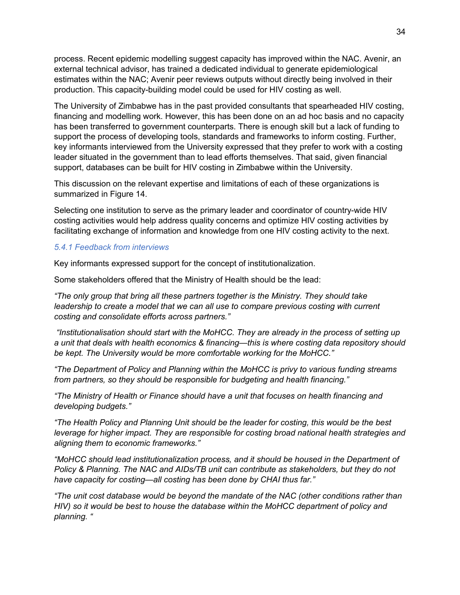process. Recent epidemic modelling suggest capacity has improved within the NAC. Avenir, an external technical advisor, has trained a dedicated individual to generate epidemiological estimates within the NAC; Avenir peer reviews outputs without directly being involved in their production. This capacity-building model could be used for HIV costing as well.

The University of Zimbabwe has in the past provided consultants that spearheaded HIV costing, financing and modelling work. However, this has been done on an ad hoc basis and no capacity has been transferred to government counterparts. There is enough skill but a lack of funding to support the process of developing tools, standards and frameworks to inform costing. Further, key informants interviewed from the University expressed that they prefer to work with a costing leader situated in the government than to lead efforts themselves. That said, given financial support, databases can be built for HIV costing in Zimbabwe within the University.

This discussion on the relevant expertise and limitations of each of these organizations is summarized in Figure 14.

Selecting one institution to serve as the primary leader and coordinator of country-wide HIV costing activities would help address quality concerns and optimize HIV costing activities by facilitating exchange of information and knowledge from one HIV costing activity to the next.

## *5.4.1 Feedback from interviews*

Key informants expressed support for the concept of institutionalization.

Some stakeholders offered that the Ministry of Health should be the lead:

*"The only group that bring all these partners together is the Ministry. They should take*  leadership to create a model that we can all use to compare previous costing with current *costing and consolidate efforts across partners."*

*"Institutionalisation should start with the MoHCC. They are already in the process of setting up a unit that deals with health economics & financing—this is where costing data repository should be kept. The University would be more comfortable working for the MoHCC."*

*"The Department of Policy and Planning within the MoHCC is privy to various funding streams from partners, so they should be responsible for budgeting and health financing."*

*"The Ministry of Health or Finance should have a unit that focuses on health financing and developing budgets."*

*"The Health Policy and Planning Unit should be the leader for costing, this would be the best leverage for higher impact. They are responsible for costing broad national health strategies and aligning them to economic frameworks."*

*"MoHCC should lead institutionalization process, and it should be housed in the Department of Policy & Planning. The NAC and AIDs/TB unit can contribute as stakeholders, but they do not have capacity for costing—all costing has been done by CHAI thus far."*

*"The unit cost database would be beyond the mandate of the NAC (other conditions rather than HIV) so it would be best to house the database within the MoHCC department of policy and planning. "*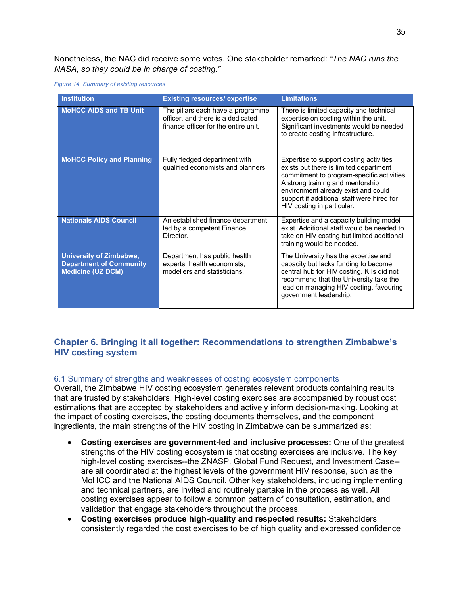Nonetheless, the NAC did receive some votes. One stakeholder remarked: *"The NAC runs the NASA, so they could be in charge of costing."*

*Figure 14. Summary of existing resources*

| <b>Institution</b>                                                                           | <b>Existing resources/ expertise</b>                                                                           | <b>Limitations</b>                                                                                                                                                                                                                                                                     |
|----------------------------------------------------------------------------------------------|----------------------------------------------------------------------------------------------------------------|----------------------------------------------------------------------------------------------------------------------------------------------------------------------------------------------------------------------------------------------------------------------------------------|
| <b>MoHCC AIDS and TB Unit</b>                                                                | The pillars each have a programme<br>officer, and there is a dedicated<br>finance officer for the entire unit. | There is limited capacity and technical<br>expertise on costing within the unit.<br>Significant investments would be needed<br>to create costing infrastructure.                                                                                                                       |
| <b>MoHCC Policy and Planning</b>                                                             | Fully fledged department with<br>qualified economists and planners.                                            | Expertise to support costing activities<br>exists but there is limited department<br>commitment to program-specific activities.<br>A strong training and mentorship<br>environment already exist and could<br>support if additional staff were hired for<br>HIV costing in particular. |
| <b>Nationals AIDS Council</b>                                                                | An established finance department<br>led by a competent Finance<br>Director.                                   | Expertise and a capacity building model<br>exist. Additional staff would be needed to<br>take on HIV costing but limited additional<br>training would be needed.                                                                                                                       |
| <b>University of Zimbabwe,</b><br><b>Department of Community</b><br><b>Medicine (UZ DCM)</b> | Department has public health<br>experts, health economists,<br>modellers and statisticians.                    | The University has the expertise and<br>capacity but lacks funding to become<br>central hub for HIV costing. KIIs did not<br>recommend that the University take the<br>lead on managing HIV costing, favouring<br>government leadership.                                               |

## **Chapter 6. Bringing it all together: Recommendations to strengthen Zimbabwe's HIV costing system**

## 6.1 Summary of strengths and weaknesses of costing ecosystem components

Overall, the Zimbabwe HIV costing ecosystem generates relevant products containing results that are trusted by stakeholders. High-level costing exercises are accompanied by robust cost estimations that are accepted by stakeholders and actively inform decision-making. Looking at the impact of costing exercises, the costing documents themselves, and the component ingredients, the main strengths of the HIV costing in Zimbabwe can be summarized as:

- **Costing exercises are government-led and inclusive processes:** One of the greatest strengths of the HIV costing ecosystem is that costing exercises are inclusive. The key high-level costing exercises--the ZNASP, Global Fund Request, and Investment Case- are all coordinated at the highest levels of the government HIV response, such as the MoHCC and the National AIDS Council. Other key stakeholders, including implementing and technical partners, are invited and routinely partake in the process as well. All costing exercises appear to follow a common pattern of consultation, estimation, and validation that engage stakeholders throughout the process.
- **Costing exercises produce high-quality and respected results:** Stakeholders consistently regarded the cost exercises to be of high quality and expressed confidence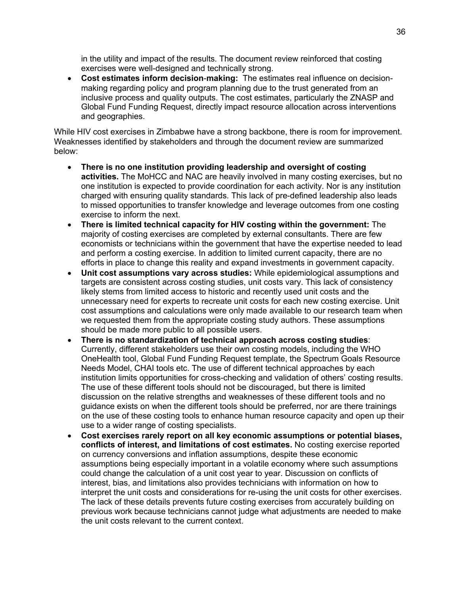in the utility and impact of the results. The document review reinforced that costing exercises were well-designed and technically strong.

• **Cost estimates inform decision**-**making:** The estimates real influence on decisionmaking regarding policy and program planning due to the trust generated from an inclusive process and quality outputs. The cost estimates, particularly the ZNASP and Global Fund Funding Request, directly impact resource allocation across interventions and geographies.

While HIV cost exercises in Zimbabwe have a strong backbone, there is room for improvement. Weaknesses identified by stakeholders and through the document review are summarized below:

- **There is no one institution providing leadership and oversight of costing activities.** The MoHCC and NAC are heavily involved in many costing exercises, but no one institution is expected to provide coordination for each activity. Nor is any institution charged with ensuring quality standards. This lack of pre-defined leadership also leads to missed opportunities to transfer knowledge and leverage outcomes from one costing exercise to inform the next.
- **There is limited technical capacity for HIV costing within the government:** The majority of costing exercises are completed by external consultants. There are few economists or technicians within the government that have the expertise needed to lead and perform a costing exercise. In addition to limited current capacity, there are no efforts in place to change this reality and expand investments in government capacity.
- **Unit cost assumptions vary across studies:** While epidemiological assumptions and targets are consistent across costing studies, unit costs vary. This lack of consistency likely stems from limited access to historic and recently used unit costs and the unnecessary need for experts to recreate unit costs for each new costing exercise. Unit cost assumptions and calculations were only made available to our research team when we requested them from the appropriate costing study authors. These assumptions should be made more public to all possible users.
- **There is no standardization of technical approach across costing studies**: Currently, different stakeholders use their own costing models, including the WHO OneHealth tool, Global Fund Funding Request template, the Spectrum Goals Resource Needs Model, CHAI tools etc. The use of different technical approaches by each institution limits opportunities for cross-checking and validation of others' costing results. The use of these different tools should not be discouraged, but there is limited discussion on the relative strengths and weaknesses of these different tools and no guidance exists on when the different tools should be preferred, nor are there trainings on the use of these costing tools to enhance human resource capacity and open up their use to a wider range of costing specialists.
- **Cost exercises rarely report on all key economic assumptions or potential biases, conflicts of interest, and limitations of cost estimates.** No costing exercise reported on currency conversions and inflation assumptions, despite these economic assumptions being especially important in a volatile economy where such assumptions could change the calculation of a unit cost year to year. Discussion on conflicts of interest, bias, and limitations also provides technicians with information on how to interpret the unit costs and considerations for re-using the unit costs for other exercises. The lack of these details prevents future costing exercises from accurately building on previous work because technicians cannot judge what adjustments are needed to make the unit costs relevant to the current context.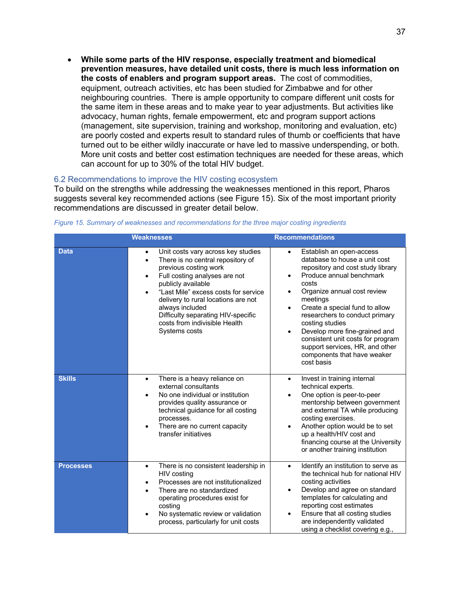• **While some parts of the HIV response, especially treatment and biomedical prevention measures, have detailed unit costs, there is much less information on the costs of enablers and program support areas.** The cost of commodities, equipment, outreach activities, etc has been studied for Zimbabwe and for other neighbouring countries. There is ample opportunity to compare different unit costs for the same item in these areas and to make year to year adjustments. But activities like advocacy, human rights, female empowerment, etc and program support actions (management, site supervision, training and workshop, monitoring and evaluation, etc) are poorly costed and experts result to standard rules of thumb or coefficients that have turned out to be either wildly inaccurate or have led to massive underspending, or both. More unit costs and better cost estimation techniques are needed for these areas, which can account for up to 30% of the total HIV budget.

#### 6.2 Recommendations to improve the HIV costing ecosystem

To build on the strengths while addressing the weaknesses mentioned in this report, Pharos suggests several key recommended actions (see Figure 15). Six of the most important priority recommendations are discussed in greater detail below.

|                  | <b>Weaknesses</b>                                                                                                                                                                                                                                                                                                                                                                                     | <b>Recommendations</b>                                                                                                                                                                                                                                                                                                                                                                                                                                                          |
|------------------|-------------------------------------------------------------------------------------------------------------------------------------------------------------------------------------------------------------------------------------------------------------------------------------------------------------------------------------------------------------------------------------------------------|---------------------------------------------------------------------------------------------------------------------------------------------------------------------------------------------------------------------------------------------------------------------------------------------------------------------------------------------------------------------------------------------------------------------------------------------------------------------------------|
| <b>Data</b>      | Unit costs vary across key studies<br>$\bullet$<br>There is no central repository of<br>$\bullet$<br>previous costing work<br>Full costing analyses are not<br>$\bullet$<br>publicly available<br>"Last Mile" excess costs for service<br>$\bullet$<br>delivery to rural locations are not<br>always included<br>Difficulty separating HIV-specific<br>costs from indivisible Health<br>Systems costs | Establish an open-access<br>$\bullet$<br>database to house a unit cost<br>repository and cost study library<br>Produce annual benchmark<br>costs<br>Organize annual cost review<br>$\bullet$<br>meetings<br>Create a special fund to allow<br>$\bullet$<br>researchers to conduct primary<br>costing studies<br>Develop more fine-grained and<br>$\bullet$<br>consistent unit costs for program<br>support services, HR, and other<br>components that have weaker<br>cost basis |
| <b>Skills</b>    | There is a heavy reliance on<br>$\bullet$<br>external consultants<br>No one individual or institution<br>$\bullet$<br>provides quality assurance or<br>technical guidance for all costing<br>processes.<br>There are no current capacity<br>$\bullet$<br>transfer initiatives                                                                                                                         | Invest in training internal<br>$\bullet$<br>technical experts.<br>One option is peer-to-peer<br>mentorship between government<br>and external TA while producing<br>costing exercises.<br>Another option would be to set<br>up a health/HIV cost and<br>financing course at the University<br>or another training institution                                                                                                                                                   |
| <b>Processes</b> | There is no consistent leadership in<br>$\bullet$<br>HIV costing<br>Processes are not institutionalized<br>$\bullet$<br>There are no standardized<br>$\bullet$<br>operating procedures exist for<br>costing<br>No systematic review or validation<br>$\bullet$<br>process, particularly for unit costs                                                                                                | Identify an institution to serve as<br>$\bullet$<br>the technical hub for national HIV<br>costing activities<br>Develop and agree on standard<br>templates for calculating and<br>reporting cost estimates<br>Ensure that all costing studies<br>are independently validated<br>using a checklist covering e.g.,                                                                                                                                                                |

|  |  |  | Figure 15. Summary of weaknesses and recommendations for the three major costing ingredients |  |  |  |  |
|--|--|--|----------------------------------------------------------------------------------------------|--|--|--|--|
|  |  |  |                                                                                              |  |  |  |  |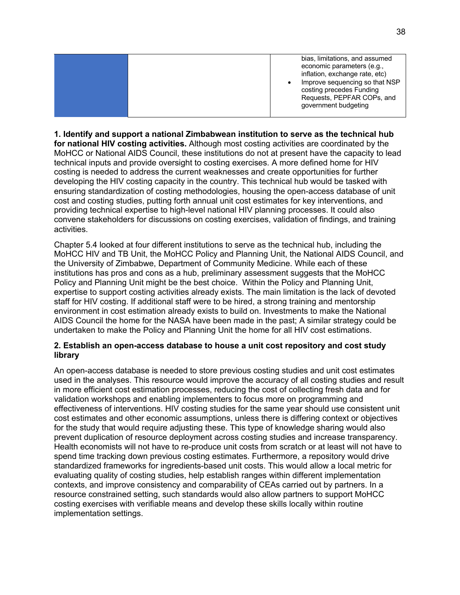|  | bias, limitations, and assumed<br>economic parameters (e.g.,<br>inflation, exchange rate, etc)<br>Improve sequencing so that NSP<br>costing precedes Funding<br>Requests, PEPFAR COPs, and<br>government budgeting |
|--|--------------------------------------------------------------------------------------------------------------------------------------------------------------------------------------------------------------------|
|  |                                                                                                                                                                                                                    |

**1. Identify and support a national Zimbabwean institution to serve as the technical hub for national HIV costing activities.** Although most costing activities are coordinated by the MoHCC or National AIDS Council, these institutions do not at present have the capacity to lead technical inputs and provide oversight to costing exercises. A more defined home for HIV costing is needed to address the current weaknesses and create opportunities for further developing the HIV costing capacity in the country. This technical hub would be tasked with ensuring standardization of costing methodologies, housing the open-access database of unit cost and costing studies, putting forth annual unit cost estimates for key interventions, and providing technical expertise to high-level national HIV planning processes. It could also convene stakeholders for discussions on costing exercises, validation of findings, and training activities.

Chapter 5.4 looked at four different institutions to serve as the technical hub, including the MoHCC HIV and TB Unit, the MoHCC Policy and Planning Unit, the National AIDS Council, and the University of Zimbabwe, Department of Community Medicine. While each of these institutions has pros and cons as a hub, preliminary assessment suggests that the MoHCC Policy and Planning Unit might be the best choice. Within the Policy and Planning Unit, expertise to support costing activities already exists. The main limitation is the lack of devoted staff for HIV costing. If additional staff were to be hired, a strong training and mentorship environment in cost estimation already exists to build on. Investments to make the National AIDS Council the home for the NASA have been made in the past; A similar strategy could be undertaken to make the Policy and Planning Unit the home for all HIV cost estimations.

## **2. Establish an open-access database to house a unit cost repository and cost study library**

An open-access database is needed to store previous costing studies and unit cost estimates used in the analyses. This resource would improve the accuracy of all costing studies and result in more efficient cost estimation processes, reducing the cost of collecting fresh data and for validation workshops and enabling implementers to focus more on programming and effectiveness of interventions. HIV costing studies for the same year should use consistent unit cost estimates and other economic assumptions, unless there is differing context or objectives for the study that would require adjusting these. This type of knowledge sharing would also prevent duplication of resource deployment across costing studies and increase transparency. Health economists will not have to re-produce unit costs from scratch or at least will not have to spend time tracking down previous costing estimates. Furthermore, a repository would drive standardized frameworks for ingredients-based unit costs. This would allow a local metric for evaluating quality of costing studies, help establish ranges within different implementation contexts, and improve consistency and comparability of CEAs carried out by partners. In a resource constrained setting, such standards would also allow partners to support MoHCC costing exercises with verifiable means and develop these skills locally within routine implementation settings.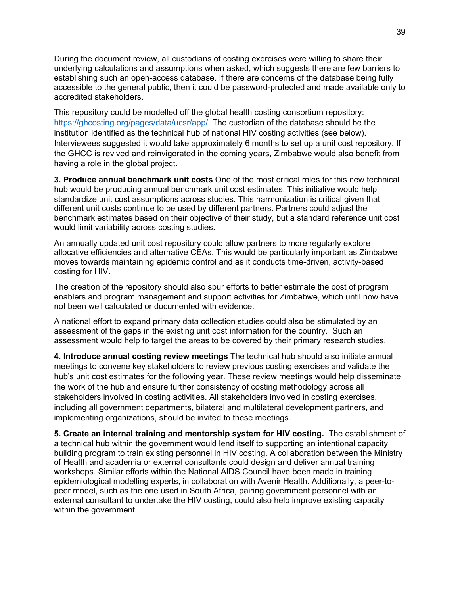During the document review, all custodians of costing exercises were willing to share their underlying calculations and assumptions when asked, which suggests there are few barriers to establishing such an open-access database. If there are concerns of the database being fully accessible to the general public, then it could be password-protected and made available only to accredited stakeholders.

This repository could be modelled off the global health costing consortium repository: https://ghcosting.org/pages/data/ucsr/app/. The custodian of the database should be the institution identified as the technical hub of national HIV costing activities (see below). Interviewees suggested it would take approximately 6 months to set up a unit cost repository. If the GHCC is revived and reinvigorated in the coming years, Zimbabwe would also benefit from having a role in the global project.

**3. Produce annual benchmark unit costs** One of the most critical roles for this new technical hub would be producing annual benchmark unit cost estimates. This initiative would help standardize unit cost assumptions across studies. This harmonization is critical given that different unit costs continue to be used by different partners. Partners could adjust the benchmark estimates based on their objective of their study, but a standard reference unit cost would limit variability across costing studies.

An annually updated unit cost repository could allow partners to more regularly explore allocative efficiencies and alternative CEAs. This would be particularly important as Zimbabwe moves towards maintaining epidemic control and as it conducts time-driven, activity-based costing for HIV.

The creation of the repository should also spur efforts to better estimate the cost of program enablers and program management and support activities for Zimbabwe, which until now have not been well calculated or documented with evidence.

A national effort to expand primary data collection studies could also be stimulated by an assessment of the gaps in the existing unit cost information for the country. Such an assessment would help to target the areas to be covered by their primary research studies.

**4. Introduce annual costing review meetings** The technical hub should also initiate annual meetings to convene key stakeholders to review previous costing exercises and validate the hub's unit cost estimates for the following year. These review meetings would help disseminate the work of the hub and ensure further consistency of costing methodology across all stakeholders involved in costing activities. All stakeholders involved in costing exercises, including all government departments, bilateral and multilateral development partners, and implementing organizations, should be invited to these meetings.

**5. Create an internal training and mentorship system for HIV costing.** The establishment of a technical hub within the government would lend itself to supporting an intentional capacity building program to train existing personnel in HIV costing. A collaboration between the Ministry of Health and academia or external consultants could design and deliver annual training workshops. Similar efforts within the National AIDS Council have been made in training epidemiological modelling experts, in collaboration with Avenir Health. Additionally, a peer-topeer model, such as the one used in South Africa, pairing government personnel with an external consultant to undertake the HIV costing, could also help improve existing capacity within the government.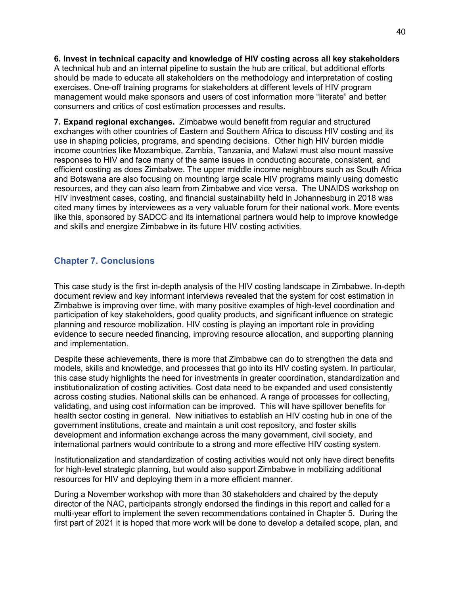**6. Invest in technical capacity and knowledge of HIV costing across all key stakeholders** A technical hub and an internal pipeline to sustain the hub are critical, but additional efforts should be made to educate all stakeholders on the methodology and interpretation of costing exercises. One-off training programs for stakeholders at different levels of HIV program management would make sponsors and users of cost information more "literate" and better consumers and critics of cost estimation processes and results.

**7. Expand regional exchanges.** Zimbabwe would benefit from regular and structured exchanges with other countries of Eastern and Southern Africa to discuss HIV costing and its use in shaping policies, programs, and spending decisions. Other high HIV burden middle income countries like Mozambique, Zambia, Tanzania, and Malawi must also mount massive responses to HIV and face many of the same issues in conducting accurate, consistent, and efficient costing as does Zimbabwe. The upper middle income neighbours such as South Africa and Botswana are also focusing on mounting large scale HIV programs mainly using domestic resources, and they can also learn from Zimbabwe and vice versa. The UNAIDS workshop on HIV investment cases, costing, and financial sustainability held in Johannesburg in 2018 was cited many times by interviewees as a very valuable forum for their national work. More events like this, sponsored by SADCC and its international partners would help to improve knowledge and skills and energize Zimbabwe in its future HIV costing activities.

## **Chapter 7. Conclusions**

This case study is the first in-depth analysis of the HIV costing landscape in Zimbabwe. In-depth document review and key informant interviews revealed that the system for cost estimation in Zimbabwe is improving over time, with many positive examples of high-level coordination and participation of key stakeholders, good quality products, and significant influence on strategic planning and resource mobilization. HIV costing is playing an important role in providing evidence to secure needed financing, improving resource allocation, and supporting planning and implementation.

Despite these achievements, there is more that Zimbabwe can do to strengthen the data and models, skills and knowledge, and processes that go into its HIV costing system. In particular, this case study highlights the need for investments in greater coordination, standardization and institutionalization of costing activities. Cost data need to be expanded and used consistently across costing studies. National skills can be enhanced. A range of processes for collecting, validating, and using cost information can be improved. This will have spillover benefits for health sector costing in general. New initiatives to establish an HIV costing hub in one of the government institutions, create and maintain a unit cost repository, and foster skills development and information exchange across the many government, civil society, and international partners would contribute to a strong and more effective HIV costing system.

Institutionalization and standardization of costing activities would not only have direct benefits for high-level strategic planning, but would also support Zimbabwe in mobilizing additional resources for HIV and deploying them in a more efficient manner.

During a November workshop with more than 30 stakeholders and chaired by the deputy director of the NAC, participants strongly endorsed the findings in this report and called for a multi-year effort to implement the seven recommendations contained in Chapter 5. During the first part of 2021 it is hoped that more work will be done to develop a detailed scope, plan, and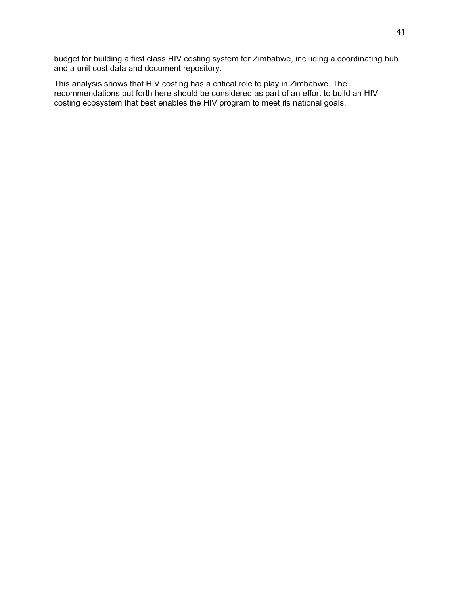budget for building a first class HIV costing system for Zimbabwe, including a coordinating hub and a unit cost data and document repository.

This analysis shows that HIV costing has a critical role to play in Zimbabwe. The recommendations put forth here should be considered as part of an effort to build an HIV costing ecosystem that best enables the HIV program to meet its national goals.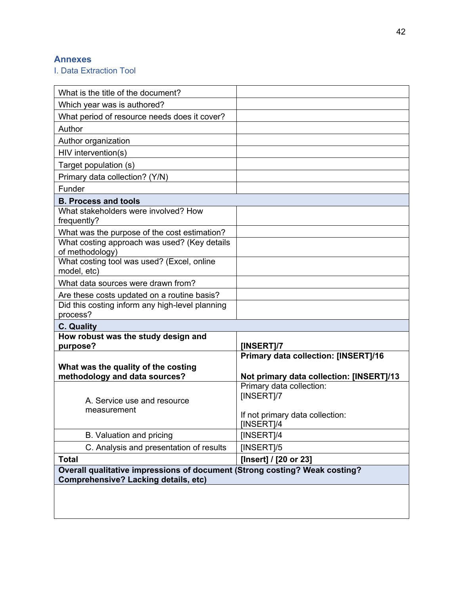## **Annexes**

I. Data Extraction Tool

| What is the title of the document?                                         |                                                    |  |  |
|----------------------------------------------------------------------------|----------------------------------------------------|--|--|
| Which year was is authored?                                                |                                                    |  |  |
| What period of resource needs does it cover?                               |                                                    |  |  |
| Author                                                                     |                                                    |  |  |
| Author organization                                                        |                                                    |  |  |
| HIV intervention(s)                                                        |                                                    |  |  |
| Target population (s)                                                      |                                                    |  |  |
| Primary data collection? (Y/N)                                             |                                                    |  |  |
| Funder                                                                     |                                                    |  |  |
| <b>B. Process and tools</b>                                                |                                                    |  |  |
| What stakeholders were involved? How<br>frequently?                        |                                                    |  |  |
| What was the purpose of the cost estimation?                               |                                                    |  |  |
| What costing approach was used? (Key details<br>of methodology)            |                                                    |  |  |
| What costing tool was used? (Excel, online<br>model, etc)                  |                                                    |  |  |
| What data sources were drawn from?                                         |                                                    |  |  |
| Are these costs updated on a routine basis?                                |                                                    |  |  |
| Did this costing inform any high-level planning<br>process?                |                                                    |  |  |
| <b>C. Quality</b>                                                          |                                                    |  |  |
| How robust was the study design and                                        |                                                    |  |  |
| purpose?                                                                   | [INSERT]/7<br>Primary data collection: [INSERT]/16 |  |  |
| What was the quality of the costing                                        |                                                    |  |  |
| methodology and data sources?                                              | Not primary data collection: [INSERT]/13           |  |  |
|                                                                            | Primary data collection:                           |  |  |
| A. Service use and resource                                                | [INSERT]/7                                         |  |  |
| measurement                                                                | If not primary data collection:<br>[INSERT]/4      |  |  |
| B. Valuation and pricing                                                   | [INSERT]/4                                         |  |  |
| C. Analysis and presentation of results                                    | [INSERT]/5                                         |  |  |
| <b>Total</b>                                                               | [Insert] / [20 or 23]                              |  |  |
| Overall qualitative impressions of document (Strong costing? Weak costing? |                                                    |  |  |
| <b>Comprehensive? Lacking details, etc)</b>                                |                                                    |  |  |
|                                                                            |                                                    |  |  |
|                                                                            |                                                    |  |  |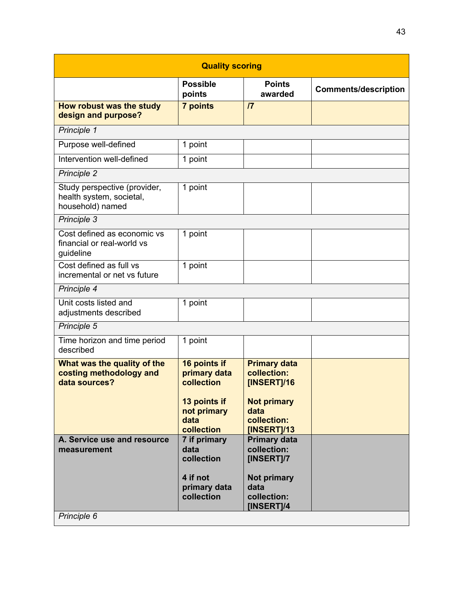| <b>Quality scoring</b>                                                       |                                                                                                 |                                                                                                               |                             |
|------------------------------------------------------------------------------|-------------------------------------------------------------------------------------------------|---------------------------------------------------------------------------------------------------------------|-----------------------------|
|                                                                              | <b>Possible</b><br>points                                                                       | <b>Points</b><br>awarded                                                                                      | <b>Comments/description</b> |
| How robust was the study<br>design and purpose?                              | 7 points                                                                                        | $\overline{17}$                                                                                               |                             |
| Principle 1                                                                  |                                                                                                 |                                                                                                               |                             |
| Purpose well-defined                                                         | 1 point                                                                                         |                                                                                                               |                             |
| Intervention well-defined                                                    | 1 point                                                                                         |                                                                                                               |                             |
| Principle 2                                                                  |                                                                                                 |                                                                                                               |                             |
| Study perspective (provider,<br>health system, societal,<br>household) named | 1 point                                                                                         |                                                                                                               |                             |
| Principle 3                                                                  |                                                                                                 |                                                                                                               |                             |
| Cost defined as economic vs<br>financial or real-world vs<br>guideline       | 1 point                                                                                         |                                                                                                               |                             |
| Cost defined as full vs<br>incremental or net vs future                      | 1 point                                                                                         |                                                                                                               |                             |
| Principle 4                                                                  |                                                                                                 |                                                                                                               |                             |
| Unit costs listed and<br>adjustments described                               | 1 point                                                                                         |                                                                                                               |                             |
| Principle 5                                                                  |                                                                                                 |                                                                                                               |                             |
| Time horizon and time period<br>described                                    | 1 point                                                                                         |                                                                                                               |                             |
| What was the quality of the<br>costing methodology and<br>data sources?      | 16 points if<br>primary data<br>collection<br>13 points if<br>not primary<br>data<br>collection | <b>Primary data</b><br>collection:<br>[INSERT]/16<br><b>Not primary</b><br>data<br>collection:<br>[INSERT]/13 |                             |
| A. Service use and resource<br>measurement<br>Principle 6                    | 7 if primary<br>data<br>collection<br>4 if not<br>primary data<br>collection                    | <b>Primary data</b><br>collection:<br>[INSERT]/7<br><b>Not primary</b><br>data<br>collection:<br>[INSERT]/4   |                             |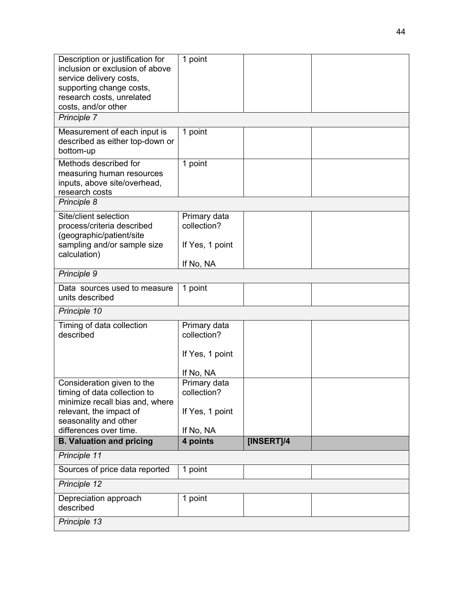| Description or justification for<br>inclusion or exclusion of above<br>service delivery costs,<br>supporting change costs,<br>research costs, unrelated<br>costs, and/or other | 1 point                                                     |            |  |
|--------------------------------------------------------------------------------------------------------------------------------------------------------------------------------|-------------------------------------------------------------|------------|--|
| Principle 7                                                                                                                                                                    |                                                             |            |  |
| Measurement of each input is<br>described as either top-down or<br>bottom-up                                                                                                   | 1 point                                                     |            |  |
| Methods described for<br>measuring human resources<br>inputs, above site/overhead,<br>research costs                                                                           | 1 point                                                     |            |  |
| Principle 8                                                                                                                                                                    |                                                             |            |  |
| Site/client selection<br>process/criteria described<br>(geographic/patient/site<br>sampling and/or sample size<br>calculation)                                                 | Primary data<br>collection?<br>If Yes, 1 point              |            |  |
| Principle 9                                                                                                                                                                    | If No, NA                                                   |            |  |
| Data sources used to measure                                                                                                                                                   |                                                             |            |  |
| units described                                                                                                                                                                | 1 point                                                     |            |  |
| Principle 10                                                                                                                                                                   |                                                             |            |  |
| Timing of data collection<br>described                                                                                                                                         | Primary data<br>collection?<br>If Yes, 1 point<br>If No, NA |            |  |
| Consideration given to the<br>timing of data collection to<br>minimize recall bias and, where<br>relevant, the impact of<br>seasonality and other<br>differences over time.    | Primary data<br>collection?<br>If Yes, 1 point<br>If No, NA |            |  |
| <b>B. Valuation and pricing</b>                                                                                                                                                | 4 points                                                    | [INSERT]/4 |  |
| Principle 11                                                                                                                                                                   |                                                             |            |  |
| Sources of price data reported                                                                                                                                                 | 1 point                                                     |            |  |
| Principle 12                                                                                                                                                                   |                                                             |            |  |
| Depreciation approach<br>described                                                                                                                                             | 1 point                                                     |            |  |
| Principle 13                                                                                                                                                                   |                                                             |            |  |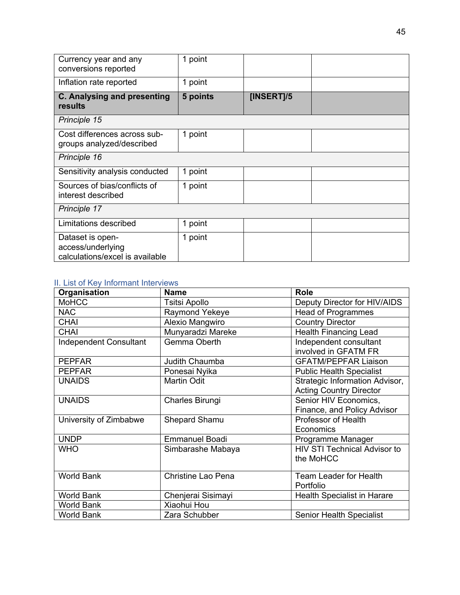| Currency year and any<br>conversions reported                            | 1 point  |            |  |
|--------------------------------------------------------------------------|----------|------------|--|
| Inflation rate reported                                                  | 1 point  |            |  |
| <b>C. Analysing and presenting</b><br>results                            | 5 points | [INSERT]/5 |  |
| Principle 15                                                             |          |            |  |
| Cost differences across sub-<br>groups analyzed/described                | 1 point  |            |  |
| Principle 16                                                             |          |            |  |
| Sensitivity analysis conducted                                           | 1 point  |            |  |
| Sources of bias/conflicts of<br>interest described                       | 1 point  |            |  |
| Principle 17                                                             |          |            |  |
| Limitations described                                                    | 1 point  |            |  |
| Dataset is open-<br>access/underlying<br>calculations/excel is available | 1 point  |            |  |

## II. List of Key Informant Interviews

| Organisation                  | <b>Name</b>               | <b>Role</b>                     |
|-------------------------------|---------------------------|---------------------------------|
| <b>MoHCC</b>                  | Tsitsi Apollo             | Deputy Director for HIV/AIDS    |
| <b>NAC</b>                    | Raymond Yekeye            | <b>Head of Programmes</b>       |
| <b>CHAI</b>                   | Alexio Mangwiro           | <b>Country Director</b>         |
| <b>CHAI</b>                   | Munyaradzi Mareke         | <b>Health Financing Lead</b>    |
| <b>Independent Consultant</b> | Gemma Oberth              | Independent consultant          |
|                               |                           | involved in GFATM FR            |
| <b>PEPFAR</b>                 | <b>Judith Chaumba</b>     | <b>GFATM/PEPFAR Liaison</b>     |
| <b>PEPFAR</b>                 | Ponesai Nyika             | <b>Public Health Specialist</b> |
| <b>UNAIDS</b>                 | <b>Martin Odit</b>        | Strategic Information Advisor,  |
|                               |                           | <b>Acting Country Director</b>  |
| <b>UNAIDS</b>                 | Charles Birungi           | Senior HIV Economics,           |
|                               |                           | Finance, and Policy Advisor     |
| University of Zimbabwe        | <b>Shepard Shamu</b>      | Professor of Health             |
|                               |                           | Economics                       |
| <b>UNDP</b>                   | <b>Emmanuel Boadi</b>     | Programme Manager               |
| <b>WHO</b>                    | Simbarashe Mabaya         | HIV STI Technical Advisor to    |
|                               |                           | the MoHCC                       |
|                               |                           |                                 |
| <b>World Bank</b>             | <b>Christine Lao Pena</b> | <b>Team Leader for Health</b>   |
|                               |                           | Portfolio                       |
| <b>World Bank</b>             | Chenjerai Sisimayi        | Health Specialist in Harare     |
| <b>World Bank</b>             | Xiaohui Hou               |                                 |
| <b>World Bank</b>             | Zara Schubber             | <b>Senior Health Specialist</b> |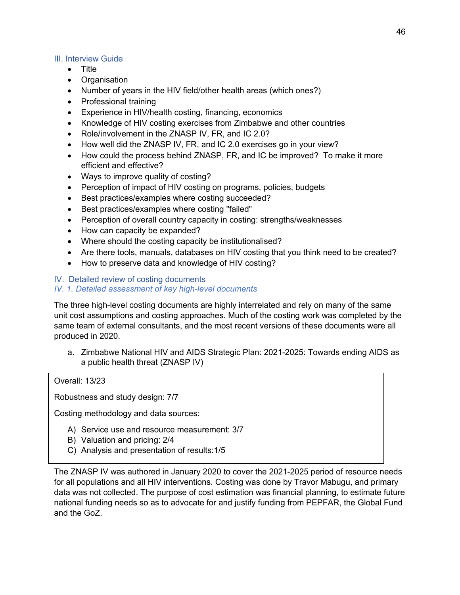## III. Interview Guide

- Title
- Organisation
- Number of years in the HIV field/other health areas (which ones?)
- Professional training
- Experience in HIV/health costing, financing, economics
- Knowledge of HIV costing exercises from Zimbabwe and other countries
- Role/involvement in the ZNASP IV, FR, and IC 2.0?
- How well did the ZNASP IV, FR, and IC 2.0 exercises go in your view?
- How could the process behind ZNASP, FR, and IC be improved? To make it more efficient and effective?
- Ways to improve quality of costing?
- Perception of impact of HIV costing on programs, policies, budgets
- Best practices/examples where costing succeeded?
- Best practices/examples where costing "failed"
- Perception of overall country capacity in costing: strengths/weaknesses
- How can capacity be expanded?
- Where should the costing capacity be institutionalised?
- Are there tools, manuals, databases on HIV costing that you think need to be created?
- How to preserve data and knowledge of HIV costing?

## IV. Detailed review of costing documents

## *IV. 1. Detailed assessment of key high-level documents*

The three high-level costing documents are highly interrelated and rely on many of the same unit cost assumptions and costing approaches. Much of the costing work was completed by the same team of external consultants, and the most recent versions of these documents were all produced in 2020.

a. Zimbabwe National HIV and AIDS Strategic Plan: 2021-2025: Towards ending AIDS as a public health threat (ZNASP IV)

## Overall: 13/23

Robustness and study design: 7/7

Costing methodology and data sources:

- A) Service use and resource measurement: 3/7
- B) Valuation and pricing: 2/4
- C) Analysis and presentation of results:1/5

The ZNASP IV was authored in January 2020 to cover the 2021-2025 period of resource needs for all populations and all HIV interventions. Costing was done by Travor Mabugu, and primary data was not collected. The purpose of cost estimation was financial planning, to estimate future national funding needs so as to advocate for and justify funding from PEPFAR, the Global Fund and the GoZ.  $\overline{a}$  service measurement:  $\overline{a}$  and  $\overline{a}$  and  $\overline{a}$  and  $\overline{a}$  and  $\overline{a}$  and  $\overline{a}$  and  $\overline{a}$  and  $\overline{a}$  and  $\overline{a}$  and  $\overline{a}$  and  $\overline{a}$  and  $\overline{a}$  and  $\overline{a}$  and  $\overline{a}$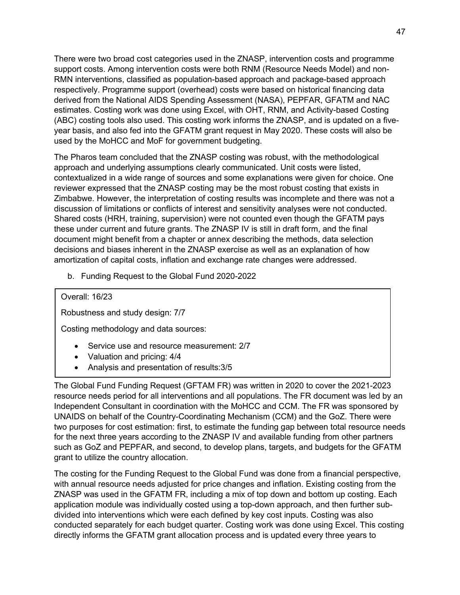There were two broad cost categories used in the ZNASP, intervention costs and programme support costs. Among intervention costs were both RNM (Resource Needs Model) and non-RMN interventions, classified as population-based approach and package-based approach respectively. Programme support (overhead) costs were based on historical financing data derived from the National AIDS Spending Assessment (NASA), PEPFAR, GFATM and NAC estimates. Costing work was done using Excel, with OHT, RNM, and Activity-based Costing (ABC) costing tools also used. This costing work informs the ZNASP, and is updated on a fiveyear basis, and also fed into the GFATM grant request in May 2020. These costs will also be used by the MoHCC and MoF for government budgeting.

The Pharos team concluded that the ZNASP costing was robust, with the methodological approach and underlying assumptions clearly communicated. Unit costs were listed, contextualized in a wide range of sources and some explanations were given for choice. One reviewer expressed that the ZNASP costing may be the most robust costing that exists in Zimbabwe. However, the interpretation of costing results was incomplete and there was not a discussion of limitations or conflicts of interest and sensitivity analyses were not conducted. Shared costs (HRH, training, supervision) were not counted even though the GFATM pays these under current and future grants. The ZNASP IV is still in draft form, and the final document might benefit from a chapter or annex describing the methods, data selection decisions and biases inherent in the ZNASP exercise as well as an explanation of how amortization of capital costs, inflation and exchange rate changes were addressed.

b. Funding Request to the Global Fund 2020-2022

#### Overall: 16/23

Robustness and study design: 7/7

Costing methodology and data sources:

- Service use and resource measurement: 2/7
- Valuation and pricing: 4/4
- Analysis and presentation of results:3/5

The Global Fund Funding Request (GFTAM FR) was written in 2020 to cover the 2021-2023 resource needs period for all interventions and all populations. The FR document was led by an Independent Consultant in coordination with the MoHCC and CCM. The FR was sponsored by UNAIDS on behalf of the Country-Coordinating Mechanism (CCM) and the GoZ. There were two purposes for cost estimation: first, to estimate the funding gap between total resource needs for the next three years according to the ZNASP IV and available funding from other partners such as GoZ and PEPFAR, and second, to develop plans, targets, and budgets for the GFATM grant to utilize the country allocation.

The costing for the Funding Request to the Global Fund was done from a financial perspective, with annual resource needs adjusted for price changes and inflation. Existing costing from the ZNASP was used in the GFATM FR, including a mix of top down and bottom up costing. Each application module was individually costed using a top-down approach, and then further subdivided into interventions which were each defined by key cost inputs. Costing was also conducted separately for each budget quarter. Costing work was done using Excel. This costing directly informs the GFATM grant allocation process and is updated every three years to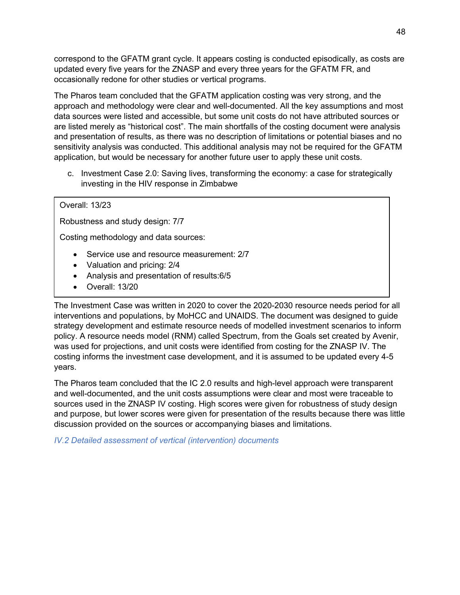correspond to the GFATM grant cycle. It appears costing is conducted episodically, as costs are updated every five years for the ZNASP and every three years for the GFATM FR, and occasionally redone for other studies or vertical programs.

The Pharos team concluded that the GFATM application costing was very strong, and the approach and methodology were clear and well-documented. All the key assumptions and most data sources were listed and accessible, but some unit costs do not have attributed sources or are listed merely as "historical cost". The main shortfalls of the costing document were analysis and presentation of results, as there was no description of limitations or potential biases and no sensitivity analysis was conducted. This additional analysis may not be required for the GFATM application, but would be necessary for another future user to apply these unit costs.

c. Investment Case 2.0: Saving lives, transforming the economy: a case for strategically investing in the HIV response in Zimbabwe

## Overall: 13/23

Robustness and study design: 7/7

Costing methodology and data sources:

- Service use and resource measurement: 2/7
- Valuation and pricing: 2/4
- Analysis and presentation of results:6/5
- Overall: 13/20

The Investment Case was written in 2020 to cover the 2020-2030 resource needs period for all interventions and populations, by MoHCC and UNAIDS. The document was designed to guide strategy development and estimate resource needs of modelled investment scenarios to inform policy. A resource needs model (RNM) called Spectrum, from the Goals set created by Avenir, was used for projections, and unit costs were identified from costing for the ZNASP IV. The costing informs the investment case development, and it is assumed to be updated every 4-5 years.

The Pharos team concluded that the IC 2.0 results and high-level approach were transparent and well-documented, and the unit costs assumptions were clear and most were traceable to sources used in the ZNASP IV costing. High scores were given for robustness of study design and purpose, but lower scores were given for presentation of the results because there was little discussion provided on the sources or accompanying biases and limitations.

*IV.2 Detailed assessment of vertical (intervention) documents*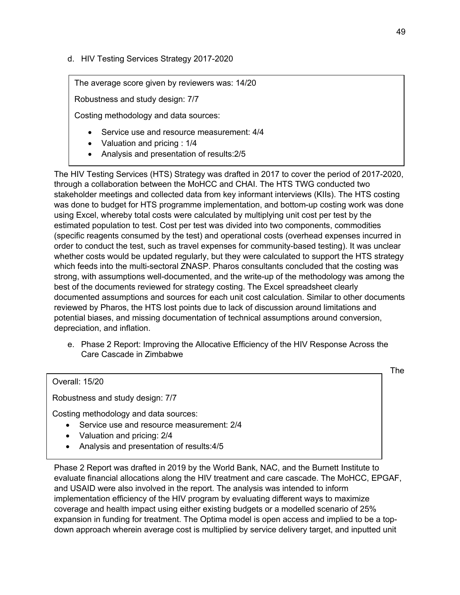d. HIV Testing Services Strategy 2017-2020

The average score given by reviewers was: 14/20

Robustness and study design: 7/7

Costing methodology and data sources:

- Service use and resource measurement: 4/4
- Valuation and pricing : 1/4
- Analysis and presentation of results:2/5

The HIV Testing Services (HTS) Strategy was drafted in 2017 to cover the period of 2017-2020, through a collaboration between the MoHCC and CHAI. The HTS TWG conducted two stakeholder meetings and collected data from key informant interviews (KIIs). The HTS costing was done to budget for HTS programme implementation, and bottom-up costing work was done using Excel, whereby total costs were calculated by multiplying unit cost per test by the estimated population to test. Cost per test was divided into two components, commodities (specific reagents consumed by the test) and operational costs (overhead expenses incurred in order to conduct the test, such as travel expenses for community-based testing). It was unclear whether costs would be updated regularly, but they were calculated to support the HTS strategy which feeds into the multi-sectoral ZNASP. Pharos consultants concluded that the costing was strong, with assumptions well-documented, and the write-up of the methodology was among the best of the documents reviewed for strategy costing. The Excel spreadsheet clearly documented assumptions and sources for each unit cost calculation. Similar to other documents reviewed by Pharos, the HTS lost points due to lack of discussion around limitations and potential biases, and missing documentation of technical assumptions around conversion, depreciation, and inflation.

e. Phase 2 Report: Improving the Allocative Efficiency of the HIV Response Across the Care Cascade in Zimbabwe

Overall: 15/20

Robustness and study design: 7/7

Costing methodology and data sources:

- Service use and resource measurement: 2/4
- Valuation and pricing: 2/4
- Analysis and presentation of results:4/5

Phase 2 Report was drafted in 2019 by the World Bank, NAC, and the Burnett Institute to evaluate financial allocations along the HIV treatment and care cascade. The MoHCC, EPGAF, and USAID were also involved in the report. The analysis was intended to inform implementation efficiency of the HIV program by evaluating different ways to maximize coverage and health impact using either existing budgets or a modelled scenario of 25% expansion in funding for treatment. The Optima model is open access and implied to be a topdown approach wherein average cost is multiplied by service delivery target, and inputted unit

The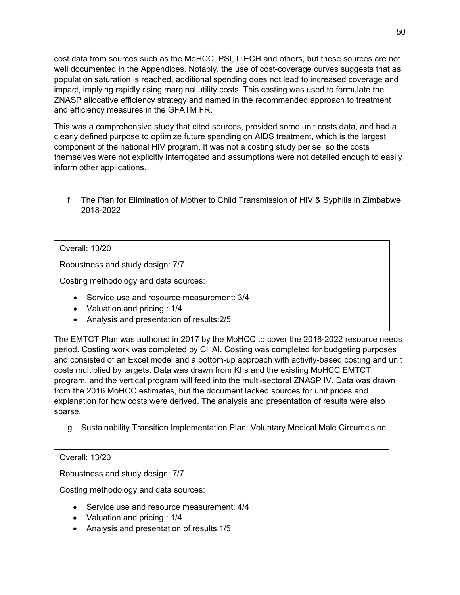cost data from sources such as the MoHCC, PSI, ITECH and others, but these sources are not well documented in the Appendices. Notably, the use of cost-coverage curves suggests that as population saturation is reached, additional spending does not lead to increased coverage and impact, implying rapidly rising marginal utility costs. This costing was used to formulate the ZNASP allocative efficiency strategy and named in the recommended approach to treatment and efficiency measures in the GFATM FR.

This was a comprehensive study that cited sources, provided some unit costs data, and had a clearly defined purpose to optimize future spending on AIDS treatment, which is the largest component of the national HIV program. It was not a costing study per se, so the costs themselves were not explicitly interrogated and assumptions were not detailed enough to easily inform other applications.

f. The Plan for Elimination of Mother to Child Transmission of HIV & Syphilis in Zimbabwe 2018-2022

## Overall: 13/20

Robustness and study design: 7/7

Costing methodology and data sources:

- Service use and resource measurement: 3/4
- Valuation and pricing : 1/4
- Analysis and presentation of results:2/5

The EMTCT Plan was authored in 2017 by the MoHCC to cover the 2018-2022 resource needs period. Costing work was completed by CHAI. Costing was completed for budgeting purposes and consisted of an Excel model and a bottom-up approach with activity-based costing and unit costs multiplied by targets. Data was drawn from KIIs and the existing MoHCC EMTCT program, and the vertical program will feed into the multi-sectoral ZNASP IV. Data was drawn from the 2016 MoHCC estimates, but the document lacked sources for unit prices and explanation for how costs were derived. The analysis and presentation of results were also sparse.

g. Sustainability Transition Implementation Plan: Voluntary Medical Male Circumcision

## Overall: 13/20

Robustness and study design: 7/7

Costing methodology and data sources:

- Service use and resource measurement: 4/4
- Valuation and pricing : 1/4
- Analysis and presentation of results:1/5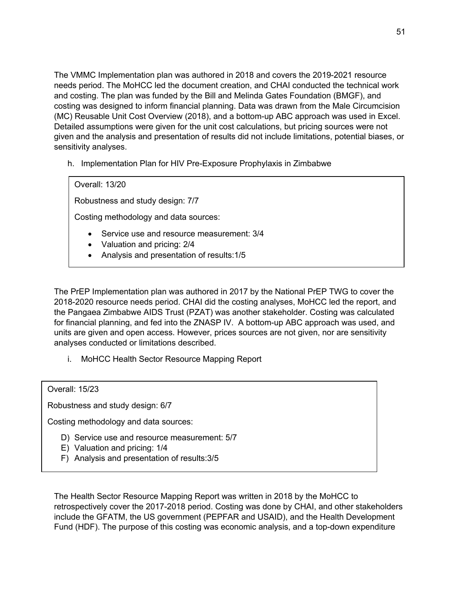The VMMC Implementation plan was authored in 2018 and covers the 2019-2021 resource needs period. The MoHCC led the document creation, and CHAI conducted the technical work and costing. The plan was funded by the Bill and Melinda Gates Foundation (BMGF), and costing was designed to inform financial planning. Data was drawn from the Male Circumcision (MC) Reusable Unit Cost Overview (2018), and a bottom-up ABC approach was used in Excel. Detailed assumptions were given for the unit cost calculations, but pricing sources were not given and the analysis and presentation of results did not include limitations, potential biases, or sensitivity analyses.

h. Implementation Plan for HIV Pre-Exposure Prophylaxis in Zimbabwe

Overall: 13/20

Robustness and study design: 7/7

Costing methodology and data sources:

- Service use and resource measurement: 3/4
- Valuation and pricing: 2/4
- Analysis and presentation of results:1/5

The PrEP Implementation plan was authored in 2017 by the National PrEP TWG to cover the 2018-2020 resource needs period. CHAI did the costing analyses, MoHCC led the report, and the Pangaea Zimbabwe AIDS Trust (PZAT) was another stakeholder. Costing was calculated for financial planning, and fed into the ZNASP IV. A bottom-up ABC approach was used, and units are given and open access. However, prices sources are not given, nor are sensitivity analyses conducted or limitations described.

i. MoHCC Health Sector Resource Mapping Report

Overall: 15/23

Overall: 13/20

Robustness and study design: 6/7

Costing methodology and data sources:

- D) Service use and resource measurement: 5/7
- E) Valuation and pricing: 1/4
- F) Analysis and presentation of results:3/5

The Health Sector Resource Mapping Report was written in 2018 by the MoHCC to retrospectively cover the 2017-2018 period. Costing was done by CHAI, and other stakeholders include the GFATM, the US government (PEPFAR and USAID), and the Health Development Fund (HDF). The purpose of this costing was economic analysis, and a top-down expenditure  $\mathbf{v} = \mathbf{v} - \mathbf{v}$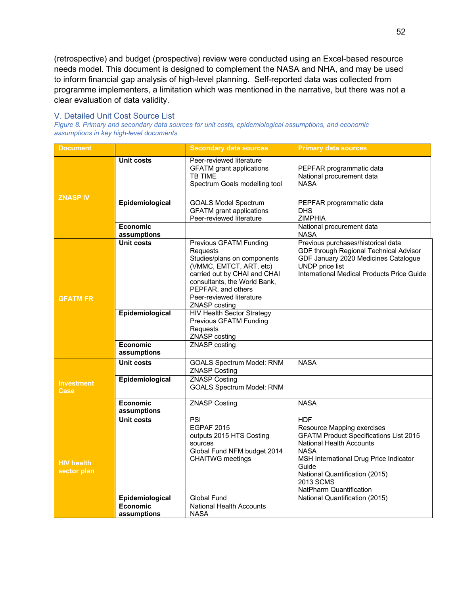(retrospective) and budget (prospective) review were conducted using an Excel-based resource needs model. This document is designed to complement the NASA and NHA, and may be used to inform financial gap analysis of high-level planning. Self-reported data was collected from programme implementers, a limitation which was mentioned in the narrative, but there was not a clear evaluation of data validity.

#### V. Detailed Unit Cost Source List

*Figure 8. Primary and secondary data sources for unit costs, epidemiological assumptions, and economic assumptions in key high-level documents*

| <b>Document</b>                  |                                    | <b>Secondary data sources</b>                                                                                                                                                                                                          | <b>Primary data sources</b>                                                                                                                                                                                                                                              |
|----------------------------------|------------------------------------|----------------------------------------------------------------------------------------------------------------------------------------------------------------------------------------------------------------------------------------|--------------------------------------------------------------------------------------------------------------------------------------------------------------------------------------------------------------------------------------------------------------------------|
| <b>ZNASP IV</b>                  | <b>Unit costs</b>                  | Peer-reviewed literature<br><b>GFATM</b> grant applications<br><b>TB TIME</b><br>Spectrum Goals modelling tool                                                                                                                         | PEPFAR programmatic data<br>National procurement data<br><b>NASA</b>                                                                                                                                                                                                     |
|                                  | Epidemiological                    | <b>GOALS Model Spectrum</b><br><b>GFATM</b> grant applications<br>Peer-reviewed literature                                                                                                                                             | PEPFAR programmatic data<br><b>DHS</b><br><b>ZIMPHIA</b>                                                                                                                                                                                                                 |
|                                  | <b>Economic</b><br>assumptions     |                                                                                                                                                                                                                                        | National procurement data<br><b>NASA</b>                                                                                                                                                                                                                                 |
| <b>GFATM FR</b>                  | <b>Unit costs</b>                  | Previous GFATM Funding<br><b>Requests</b><br>Studies/plans on components<br>(VMMC, EMTCT, ART, etc)<br>carried out by CHAI and CHAI<br>consultants, the World Bank,<br>PEPFAR, and others<br>Peer-reviewed literature<br>ZNASP costing | Previous purchases/historical data<br>GDF through Regional Technical Advisor<br>GDF January 2020 Medicines Catalogue<br><b>UNDP</b> price list<br>International Medical Products Price Guide                                                                             |
|                                  | Epidemiological<br><b>Economic</b> | <b>HIV Health Sector Strategy</b><br>Previous GFATM Funding<br><b>Requests</b><br>ZNASP costing<br><b>ZNASP</b> costing                                                                                                                |                                                                                                                                                                                                                                                                          |
|                                  | assumptions                        |                                                                                                                                                                                                                                        |                                                                                                                                                                                                                                                                          |
| <b>Investment</b><br>Case        | <b>Unit costs</b>                  | <b>GOALS Spectrum Model: RNM</b><br><b>ZNASP Costing</b>                                                                                                                                                                               | <b>NASA</b>                                                                                                                                                                                                                                                              |
|                                  | Epidemiological                    | <b>ZNASP Costing</b><br><b>GOALS Spectrum Model: RNM</b>                                                                                                                                                                               |                                                                                                                                                                                                                                                                          |
|                                  | <b>Economic</b><br>assumptions     | <b>ZNASP Costing</b>                                                                                                                                                                                                                   | <b>NASA</b>                                                                                                                                                                                                                                                              |
| <b>HIV health</b><br>sector plan | <b>Unit costs</b>                  | PSI<br><b>EGPAF 2015</b><br>outputs 2015 HTS Costing<br>sources<br>Global Fund NFM budget 2014<br><b>CHAITWG</b> meetings                                                                                                              | <b>HDF</b><br>Resource Mapping exercises<br><b>GFATM Product Specifications List 2015</b><br><b>National Health Accounts</b><br><b>NASA</b><br>MSH International Drug Price Indicator<br>Guide<br>National Quantification (2015)<br>2013 SCMS<br>NatPharm Quantification |
|                                  | Epidemiological<br>Economic        | Global Fund<br>National Health Accounts                                                                                                                                                                                                | National Quantification (2015)                                                                                                                                                                                                                                           |
|                                  | assumptions                        | NASA                                                                                                                                                                                                                                   |                                                                                                                                                                                                                                                                          |